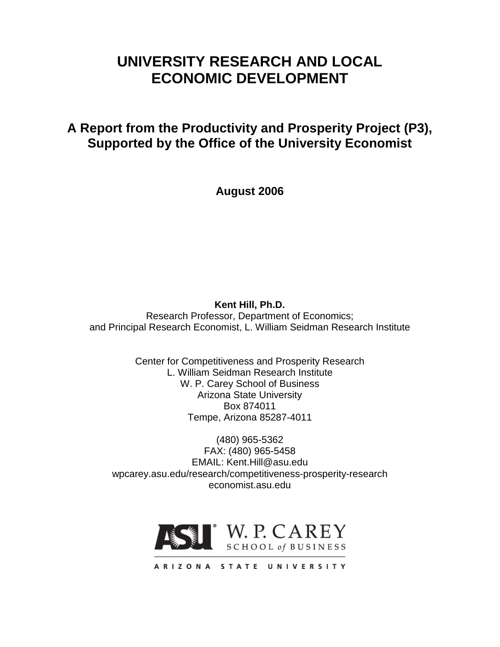# **UNIVERSITY RESEARCH AND LOCAL ECONOMIC DEVELOPMENT**

**A Report from the Productivity and Prosperity Project (P3), Supported by the Office of the University Economist**

**August 2006**

**Kent Hill, Ph.D.** Research Professor, Department of Economics; and Principal Research Economist, L. William Seidman Research Institute

> Center for Competitiveness and Prosperity Research L. William Seidman Research Institute W. P. Carey School of Business Arizona State University Box 874011 Tempe, Arizona 85287-4011

(480) 965-5362 FAX: (480) 965-5458 EMAIL: Kent.Hill@asu.edu wpcarey.asu.edu/research/competitiveness-prosperity-research economist.asu.edu

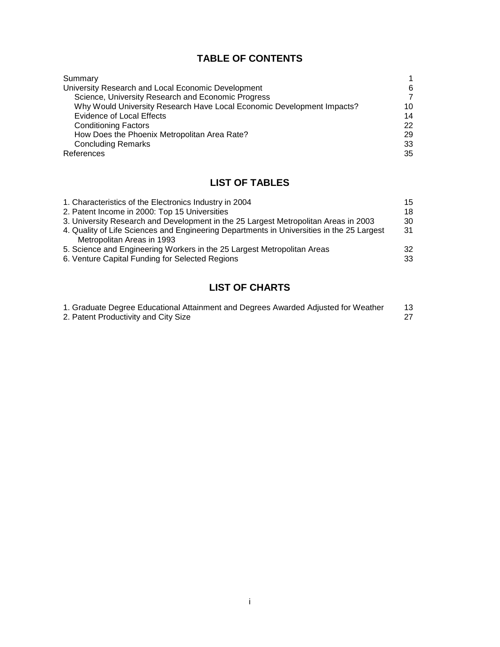## **TABLE OF CONTENTS**

| Summary                                                                | 1              |
|------------------------------------------------------------------------|----------------|
| University Research and Local Economic Development                     | 6              |
| Science, University Research and Economic Progress                     | $\overline{7}$ |
| Why Would University Research Have Local Economic Development Impacts? | 10             |
| <b>Evidence of Local Effects</b>                                       | 14             |
| <b>Conditioning Factors</b>                                            | 22             |
| How Does the Phoenix Metropolitan Area Rate?                           | 29             |
| <b>Concluding Remarks</b>                                              | 33             |
| References                                                             | 35             |

## **LIST OF TABLES**

| 15 |
|----|
| 18 |
| 30 |
| 31 |
|    |
| 32 |
| 33 |
|    |

## **LIST OF CHARTS**

| 1. Graduate Degree Educational Attainment and Degrees Awarded Adjusted for Weather |  |
|------------------------------------------------------------------------------------|--|
| 2. Patent Productivity and City Size                                               |  |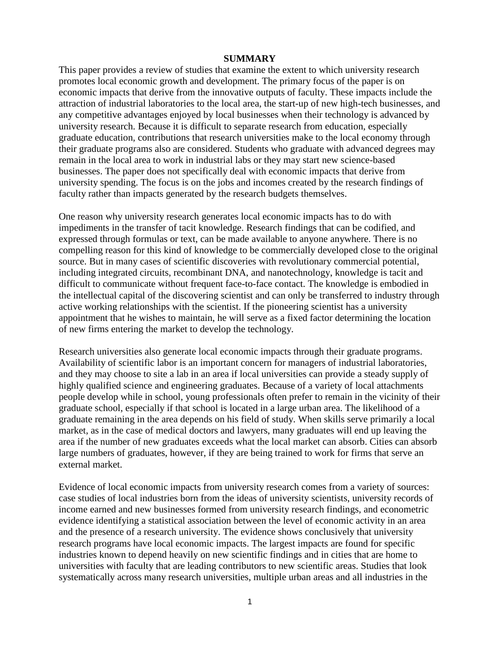#### **SUMMARY**

This paper provides a review of studies that examine the extent to which university research promotes local economic growth and development. The primary focus of the paper is on economic impacts that derive from the innovative outputs of faculty. These impacts include the attraction of industrial laboratories to the local area, the start-up of new high-tech businesses, and any competitive advantages enjoyed by local businesses when their technology is advanced by university research. Because it is difficult to separate research from education, especially graduate education, contributions that research universities make to the local economy through their graduate programs also are considered. Students who graduate with advanced degrees may remain in the local area to work in industrial labs or they may start new science-based businesses. The paper does not specifically deal with economic impacts that derive from university spending. The focus is on the jobs and incomes created by the research findings of faculty rather than impacts generated by the research budgets themselves.

One reason why university research generates local economic impacts has to do with impediments in the transfer of tacit knowledge. Research findings that can be codified, and expressed through formulas or text, can be made available to anyone anywhere. There is no compelling reason for this kind of knowledge to be commercially developed close to the original source. But in many cases of scientific discoveries with revolutionary commercial potential, including integrated circuits, recombinant DNA, and nanotechnology, knowledge is tacit and difficult to communicate without frequent face-to-face contact. The knowledge is embodied in the intellectual capital of the discovering scientist and can only be transferred to industry through active working relationships with the scientist. If the pioneering scientist has a university appointment that he wishes to maintain, he will serve as a fixed factor determining the location of new firms entering the market to develop the technology.

Research universities also generate local economic impacts through their graduate programs. Availability of scientific labor is an important concern for managers of industrial laboratories, and they may choose to site a lab in an area if local universities can provide a steady supply of highly qualified science and engineering graduates. Because of a variety of local attachments people develop while in school, young professionals often prefer to remain in the vicinity of their graduate school, especially if that school is located in a large urban area. The likelihood of a graduate remaining in the area depends on his field of study. When skills serve primarily a local market, as in the case of medical doctors and lawyers, many graduates will end up leaving the area if the number of new graduates exceeds what the local market can absorb. Cities can absorb large numbers of graduates, however, if they are being trained to work for firms that serve an external market.

Evidence of local economic impacts from university research comes from a variety of sources: case studies of local industries born from the ideas of university scientists, university records of income earned and new businesses formed from university research findings, and econometric evidence identifying a statistical association between the level of economic activity in an area and the presence of a research university. The evidence shows conclusively that university research programs have local economic impacts. The largest impacts are found for specific industries known to depend heavily on new scientific findings and in cities that are home to universities with faculty that are leading contributors to new scientific areas. Studies that look systematically across many research universities, multiple urban areas and all industries in the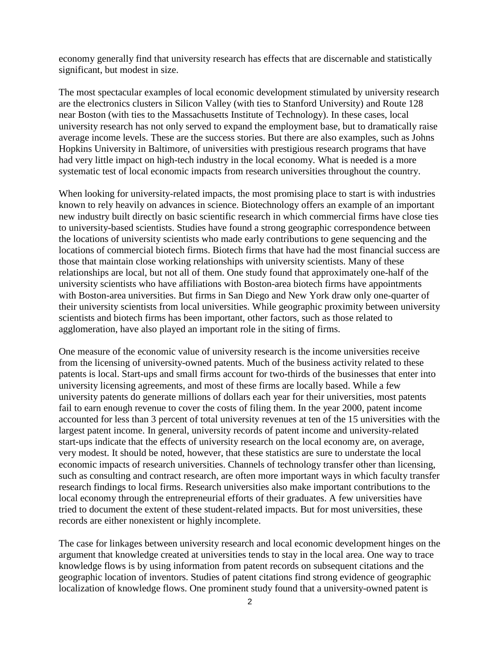economy generally find that university research has effects that are discernable and statistically significant, but modest in size.

The most spectacular examples of local economic development stimulated by university research are the electronics clusters in Silicon Valley (with ties to Stanford University) and Route 128 near Boston (with ties to the Massachusetts Institute of Technology). In these cases, local university research has not only served to expand the employment base, but to dramatically raise average income levels. These are the success stories. But there are also examples, such as Johns Hopkins University in Baltimore, of universities with prestigious research programs that have had very little impact on high-tech industry in the local economy. What is needed is a more systematic test of local economic impacts from research universities throughout the country.

When looking for university-related impacts, the most promising place to start is with industries known to rely heavily on advances in science. Biotechnology offers an example of an important new industry built directly on basic scientific research in which commercial firms have close ties to university-based scientists. Studies have found a strong geographic correspondence between the locations of university scientists who made early contributions to gene sequencing and the locations of commercial biotech firms. Biotech firms that have had the most financial success are those that maintain close working relationships with university scientists. Many of these relationships are local, but not all of them. One study found that approximately one-half of the university scientists who have affiliations with Boston-area biotech firms have appointments with Boston-area universities. But firms in San Diego and New York draw only one-quarter of their university scientists from local universities. While geographic proximity between university scientists and biotech firms has been important, other factors, such as those related to agglomeration, have also played an important role in the siting of firms.

One measure of the economic value of university research is the income universities receive from the licensing of university-owned patents. Much of the business activity related to these patents is local. Start-ups and small firms account for two-thirds of the businesses that enter into university licensing agreements, and most of these firms are locally based. While a few university patents do generate millions of dollars each year for their universities, most patents fail to earn enough revenue to cover the costs of filing them. In the year 2000, patent income accounted for less than 3 percent of total university revenues at ten of the 15 universities with the largest patent income. In general, university records of patent income and university-related start-ups indicate that the effects of university research on the local economy are, on average, very modest. It should be noted, however, that these statistics are sure to understate the local economic impacts of research universities. Channels of technology transfer other than licensing, such as consulting and contract research, are often more important ways in which faculty transfer research findings to local firms. Research universities also make important contributions to the local economy through the entrepreneurial efforts of their graduates. A few universities have tried to document the extent of these student-related impacts. But for most universities, these records are either nonexistent or highly incomplete.

The case for linkages between university research and local economic development hinges on the argument that knowledge created at universities tends to stay in the local area. One way to trace knowledge flows is by using information from patent records on subsequent citations and the geographic location of inventors. Studies of patent citations find strong evidence of geographic localization of knowledge flows. One prominent study found that a university-owned patent is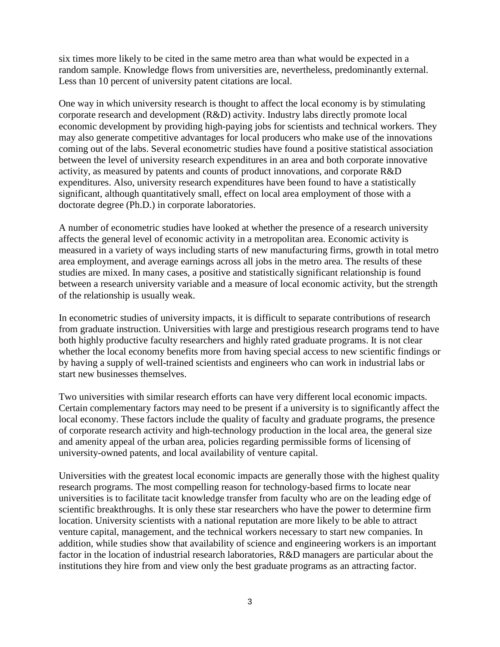six times more likely to be cited in the same metro area than what would be expected in a random sample. Knowledge flows from universities are, nevertheless, predominantly external. Less than 10 percent of university patent citations are local.

One way in which university research is thought to affect the local economy is by stimulating corporate research and development (R&D) activity. Industry labs directly promote local economic development by providing high-paying jobs for scientists and technical workers. They may also generate competitive advantages for local producers who make use of the innovations coming out of the labs. Several econometric studies have found a positive statistical association between the level of university research expenditures in an area and both corporate innovative activity, as measured by patents and counts of product innovations, and corporate R&D expenditures. Also, university research expenditures have been found to have a statistically significant, although quantitatively small, effect on local area employment of those with a doctorate degree (Ph.D.) in corporate laboratories.

A number of econometric studies have looked at whether the presence of a research university affects the general level of economic activity in a metropolitan area. Economic activity is measured in a variety of ways including starts of new manufacturing firms, growth in total metro area employment, and average earnings across all jobs in the metro area. The results of these studies are mixed. In many cases, a positive and statistically significant relationship is found between a research university variable and a measure of local economic activity, but the strength of the relationship is usually weak.

In econometric studies of university impacts, it is difficult to separate contributions of research from graduate instruction. Universities with large and prestigious research programs tend to have both highly productive faculty researchers and highly rated graduate programs. It is not clear whether the local economy benefits more from having special access to new scientific findings or by having a supply of well-trained scientists and engineers who can work in industrial labs or start new businesses themselves.

Two universities with similar research efforts can have very different local economic impacts. Certain complementary factors may need to be present if a university is to significantly affect the local economy. These factors include the quality of faculty and graduate programs, the presence of corporate research activity and high-technology production in the local area, the general size and amenity appeal of the urban area, policies regarding permissible forms of licensing of university-owned patents, and local availability of venture capital.

Universities with the greatest local economic impacts are generally those with the highest quality research programs. The most compelling reason for technology-based firms to locate near universities is to facilitate tacit knowledge transfer from faculty who are on the leading edge of scientific breakthroughs. It is only these star researchers who have the power to determine firm location. University scientists with a national reputation are more likely to be able to attract venture capital, management, and the technical workers necessary to start new companies. In addition, while studies show that availability of science and engineering workers is an important factor in the location of industrial research laboratories, R&D managers are particular about the institutions they hire from and view only the best graduate programs as an attracting factor.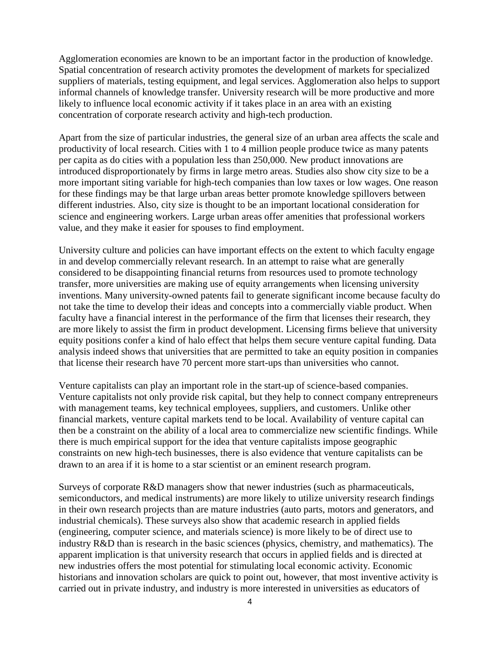Agglomeration economies are known to be an important factor in the production of knowledge. Spatial concentration of research activity promotes the development of markets for specialized suppliers of materials, testing equipment, and legal services. Agglomeration also helps to support informal channels of knowledge transfer. University research will be more productive and more likely to influence local economic activity if it takes place in an area with an existing concentration of corporate research activity and high-tech production.

Apart from the size of particular industries, the general size of an urban area affects the scale and productivity of local research. Cities with 1 to 4 million people produce twice as many patents per capita as do cities with a population less than 250,000. New product innovations are introduced disproportionately by firms in large metro areas. Studies also show city size to be a more important siting variable for high-tech companies than low taxes or low wages. One reason for these findings may be that large urban areas better promote knowledge spillovers between different industries. Also, city size is thought to be an important locational consideration for science and engineering workers. Large urban areas offer amenities that professional workers value, and they make it easier for spouses to find employment.

University culture and policies can have important effects on the extent to which faculty engage in and develop commercially relevant research. In an attempt to raise what are generally considered to be disappointing financial returns from resources used to promote technology transfer, more universities are making use of equity arrangements when licensing university inventions. Many university-owned patents fail to generate significant income because faculty do not take the time to develop their ideas and concepts into a commercially viable product. When faculty have a financial interest in the performance of the firm that licenses their research, they are more likely to assist the firm in product development. Licensing firms believe that university equity positions confer a kind of halo effect that helps them secure venture capital funding. Data analysis indeed shows that universities that are permitted to take an equity position in companies that license their research have 70 percent more start-ups than universities who cannot.

Venture capitalists can play an important role in the start-up of science-based companies. Venture capitalists not only provide risk capital, but they help to connect company entrepreneurs with management teams, key technical employees, suppliers, and customers. Unlike other financial markets, venture capital markets tend to be local. Availability of venture capital can then be a constraint on the ability of a local area to commercialize new scientific findings. While there is much empirical support for the idea that venture capitalists impose geographic constraints on new high-tech businesses, there is also evidence that venture capitalists can be drawn to an area if it is home to a star scientist or an eminent research program.

Surveys of corporate R&D managers show that newer industries (such as pharmaceuticals, semiconductors, and medical instruments) are more likely to utilize university research findings in their own research projects than are mature industries (auto parts, motors and generators, and industrial chemicals). These surveys also show that academic research in applied fields (engineering, computer science, and materials science) is more likely to be of direct use to industry R&D than is research in the basic sciences (physics, chemistry, and mathematics). The apparent implication is that university research that occurs in applied fields and is directed at new industries offers the most potential for stimulating local economic activity. Economic historians and innovation scholars are quick to point out, however, that most inventive activity is carried out in private industry, and industry is more interested in universities as educators of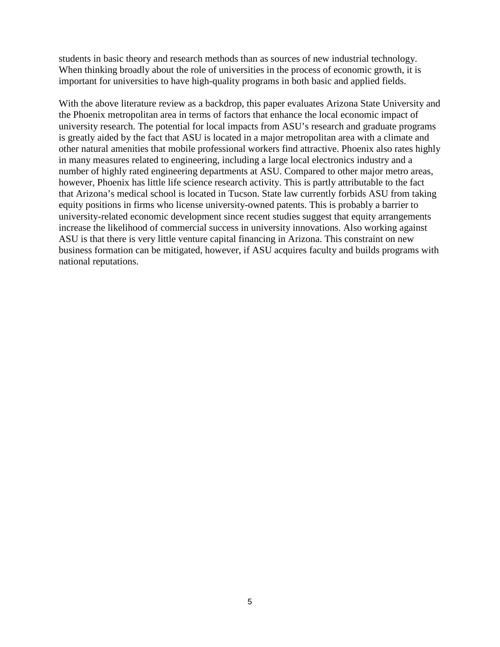students in basic theory and research methods than as sources of new industrial technology. When thinking broadly about the role of universities in the process of economic growth, it is important for universities to have high-quality programs in both basic and applied fields.

With the above literature review as a backdrop, this paper evaluates Arizona State University and the Phoenix metropolitan area in terms of factors that enhance the local economic impact of university research. The potential for local impacts from ASU's research and graduate programs is greatly aided by the fact that ASU is located in a major metropolitan area with a climate and other natural amenities that mobile professional workers find attractive. Phoenix also rates highly in many measures related to engineering, including a large local electronics industry and a number of highly rated engineering departments at ASU. Compared to other major metro areas, however, Phoenix has little life science research activity. This is partly attributable to the fact that Arizona's medical school is located in Tucson. State law currently forbids ASU from taking equity positions in firms who license university-owned patents. This is probably a barrier to university-related economic development since recent studies suggest that equity arrangements increase the likelihood of commercial success in university innovations. Also working against ASU is that there is very little venture capital financing in Arizona. This constraint on new business formation can be mitigated, however, if ASU acquires faculty and builds programs with national reputations.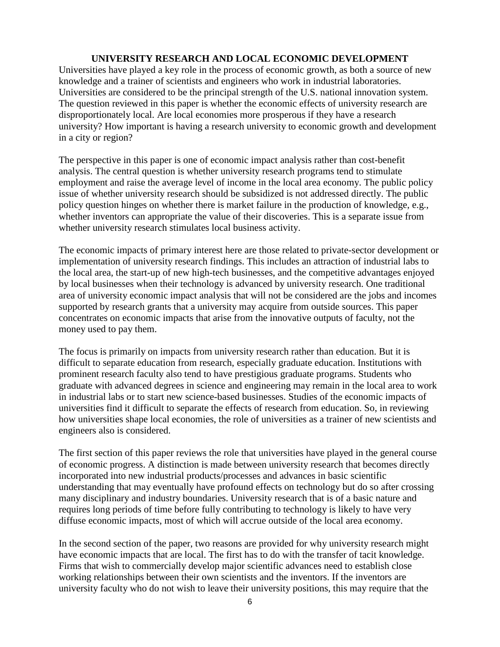#### **UNIVERSITY RESEARCH AND LOCAL ECONOMIC DEVELOPMENT**

Universities have played a key role in the process of economic growth, as both a source of new knowledge and a trainer of scientists and engineers who work in industrial laboratories. Universities are considered to be the principal strength of the U.S. national innovation system. The question reviewed in this paper is whether the economic effects of university research are disproportionately local. Are local economies more prosperous if they have a research university? How important is having a research university to economic growth and development in a city or region?

The perspective in this paper is one of economic impact analysis rather than cost-benefit analysis. The central question is whether university research programs tend to stimulate employment and raise the average level of income in the local area economy. The public policy issue of whether university research should be subsidized is not addressed directly. The public policy question hinges on whether there is market failure in the production of knowledge, e.g., whether inventors can appropriate the value of their discoveries. This is a separate issue from whether university research stimulates local business activity.

The economic impacts of primary interest here are those related to private-sector development or implementation of university research findings. This includes an attraction of industrial labs to the local area, the start-up of new high-tech businesses, and the competitive advantages enjoyed by local businesses when their technology is advanced by university research. One traditional area of university economic impact analysis that will not be considered are the jobs and incomes supported by research grants that a university may acquire from outside sources. This paper concentrates on economic impacts that arise from the innovative outputs of faculty, not the money used to pay them.

The focus is primarily on impacts from university research rather than education. But it is difficult to separate education from research, especially graduate education. Institutions with prominent research faculty also tend to have prestigious graduate programs. Students who graduate with advanced degrees in science and engineering may remain in the local area to work in industrial labs or to start new science-based businesses. Studies of the economic impacts of universities find it difficult to separate the effects of research from education. So, in reviewing how universities shape local economies, the role of universities as a trainer of new scientists and engineers also is considered.

The first section of this paper reviews the role that universities have played in the general course of economic progress. A distinction is made between university research that becomes directly incorporated into new industrial products/processes and advances in basic scientific understanding that may eventually have profound effects on technology but do so after crossing many disciplinary and industry boundaries. University research that is of a basic nature and requires long periods of time before fully contributing to technology is likely to have very diffuse economic impacts, most of which will accrue outside of the local area economy.

In the second section of the paper, two reasons are provided for why university research might have economic impacts that are local. The first has to do with the transfer of tacit knowledge. Firms that wish to commercially develop major scientific advances need to establish close working relationships between their own scientists and the inventors. If the inventors are university faculty who do not wish to leave their university positions, this may require that the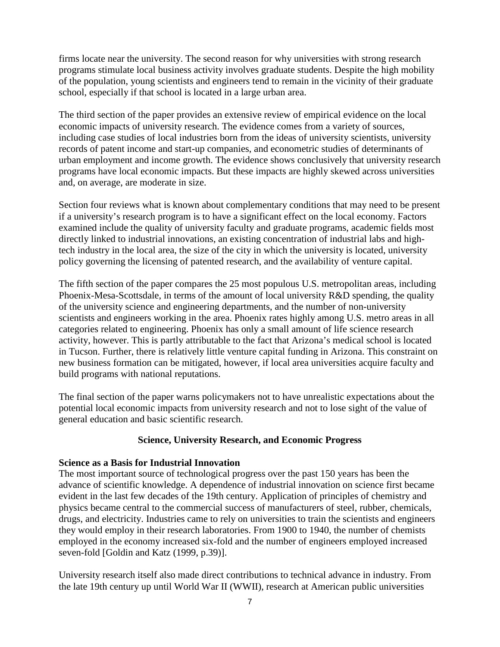firms locate near the university. The second reason for why universities with strong research programs stimulate local business activity involves graduate students. Despite the high mobility of the population, young scientists and engineers tend to remain in the vicinity of their graduate school, especially if that school is located in a large urban area.

The third section of the paper provides an extensive review of empirical evidence on the local economic impacts of university research. The evidence comes from a variety of sources, including case studies of local industries born from the ideas of university scientists, university records of patent income and start-up companies, and econometric studies of determinants of urban employment and income growth. The evidence shows conclusively that university research programs have local economic impacts. But these impacts are highly skewed across universities and, on average, are moderate in size.

Section four reviews what is known about complementary conditions that may need to be present if a university's research program is to have a significant effect on the local economy. Factors examined include the quality of university faculty and graduate programs, academic fields most directly linked to industrial innovations, an existing concentration of industrial labs and hightech industry in the local area, the size of the city in which the university is located, university policy governing the licensing of patented research, and the availability of venture capital.

The fifth section of the paper compares the 25 most populous U.S. metropolitan areas, including Phoenix-Mesa-Scottsdale, in terms of the amount of local university R&D spending, the quality of the university science and engineering departments, and the number of non-university scientists and engineers working in the area. Phoenix rates highly among U.S. metro areas in all categories related to engineering. Phoenix has only a small amount of life science research activity, however. This is partly attributable to the fact that Arizona's medical school is located in Tucson. Further, there is relatively little venture capital funding in Arizona. This constraint on new business formation can be mitigated, however, if local area universities acquire faculty and build programs with national reputations.

The final section of the paper warns policymakers not to have unrealistic expectations about the potential local economic impacts from university research and not to lose sight of the value of general education and basic scientific research.

### **Science, University Research, and Economic Progress**

### **Science as a Basis for Industrial Innovation**

The most important source of technological progress over the past 150 years has been the advance of scientific knowledge. A dependence of industrial innovation on science first became evident in the last few decades of the 19th century. Application of principles of chemistry and physics became central to the commercial success of manufacturers of steel, rubber, chemicals, drugs, and electricity. Industries came to rely on universities to train the scientists and engineers they would employ in their research laboratories. From 1900 to 1940, the number of chemists employed in the economy increased six-fold and the number of engineers employed increased seven-fold [Goldin and Katz (1999, p.39)].

University research itself also made direct contributions to technical advance in industry. From the late 19th century up until World War II (WWII), research at American public universities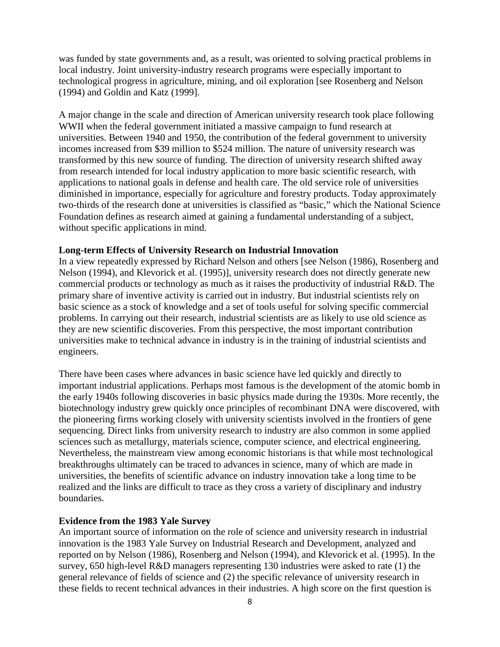was funded by state governments and, as a result, was oriented to solving practical problems in local industry. Joint university-industry research programs were especially important to technological progress in agriculture, mining, and oil exploration [see Rosenberg and Nelson (1994) and Goldin and Katz (1999].

A major change in the scale and direction of American university research took place following WWII when the federal government initiated a massive campaign to fund research at universities. Between 1940 and 1950, the contribution of the federal government to university incomes increased from \$39 million to \$524 million. The nature of university research was transformed by this new source of funding. The direction of university research shifted away from research intended for local industry application to more basic scientific research, with applications to national goals in defense and health care. The old service role of universities diminished in importance, especially for agriculture and forestry products. Today approximately two-thirds of the research done at universities is classified as "basic," which the National Science Foundation defines as research aimed at gaining a fundamental understanding of a subject, without specific applications in mind.

#### **Long-term Effects of University Research on Industrial Innovation**

In a view repeatedly expressed by Richard Nelson and others [see Nelson (1986), Rosenberg and Nelson (1994), and Klevorick et al. (1995)], university research does not directly generate new commercial products or technology as much as it raises the productivity of industrial R&D. The primary share of inventive activity is carried out in industry. But industrial scientists rely on basic science as a stock of knowledge and a set of tools useful for solving specific commercial problems. In carrying out their research, industrial scientists are as likely to use old science as they are new scientific discoveries. From this perspective, the most important contribution universities make to technical advance in industry is in the training of industrial scientists and engineers.

There have been cases where advances in basic science have led quickly and directly to important industrial applications. Perhaps most famous is the development of the atomic bomb in the early 1940s following discoveries in basic physics made during the 1930s. More recently, the biotechnology industry grew quickly once principles of recombinant DNA were discovered, with the pioneering firms working closely with university scientists involved in the frontiers of gene sequencing. Direct links from university research to industry are also common in some applied sciences such as metallurgy, materials science, computer science, and electrical engineering. Nevertheless, the mainstream view among economic historians is that while most technological breakthroughs ultimately can be traced to advances in science, many of which are made in universities, the benefits of scientific advance on industry innovation take a long time to be realized and the links are difficult to trace as they cross a variety of disciplinary and industry boundaries.

#### **Evidence from the 1983 Yale Survey**

An important source of information on the role of science and university research in industrial innovation is the 1983 Yale Survey on Industrial Research and Development, analyzed and reported on by Nelson (1986), Rosenberg and Nelson (1994), and Klevorick et al. (1995). In the survey, 650 high-level R&D managers representing 130 industries were asked to rate (1) the general relevance of fields of science and (2) the specific relevance of university research in these fields to recent technical advances in their industries. A high score on the first question is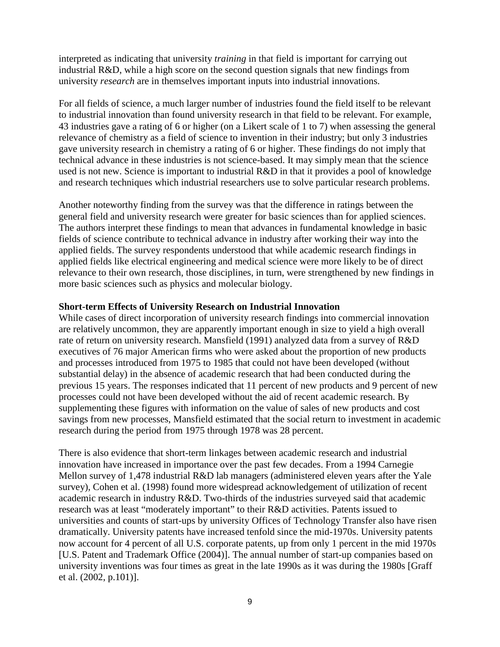interpreted as indicating that university *training* in that field is important for carrying out industrial R&D, while a high score on the second question signals that new findings from university *research* are in themselves important inputs into industrial innovations.

For all fields of science, a much larger number of industries found the field itself to be relevant to industrial innovation than found university research in that field to be relevant. For example, 43 industries gave a rating of 6 or higher (on a Likert scale of 1 to 7) when assessing the general relevance of chemistry as a field of science to invention in their industry; but only 3 industries gave university research in chemistry a rating of 6 or higher. These findings do not imply that technical advance in these industries is not science-based. It may simply mean that the science used is not new. Science is important to industrial R&D in that it provides a pool of knowledge and research techniques which industrial researchers use to solve particular research problems.

Another noteworthy finding from the survey was that the difference in ratings between the general field and university research were greater for basic sciences than for applied sciences. The authors interpret these findings to mean that advances in fundamental knowledge in basic fields of science contribute to technical advance in industry after working their way into the applied fields. The survey respondents understood that while academic research findings in applied fields like electrical engineering and medical science were more likely to be of direct relevance to their own research, those disciplines, in turn, were strengthened by new findings in more basic sciences such as physics and molecular biology.

#### **Short-term Effects of University Research on Industrial Innovation**

While cases of direct incorporation of university research findings into commercial innovation are relatively uncommon, they are apparently important enough in size to yield a high overall rate of return on university research. Mansfield (1991) analyzed data from a survey of R&D executives of 76 major American firms who were asked about the proportion of new products and processes introduced from 1975 to 1985 that could not have been developed (without substantial delay) in the absence of academic research that had been conducted during the previous 15 years. The responses indicated that 11 percent of new products and 9 percent of new processes could not have been developed without the aid of recent academic research. By supplementing these figures with information on the value of sales of new products and cost savings from new processes, Mansfield estimated that the social return to investment in academic research during the period from 1975 through 1978 was 28 percent.

There is also evidence that short-term linkages between academic research and industrial innovation have increased in importance over the past few decades. From a 1994 Carnegie Mellon survey of 1,478 industrial R&D lab managers (administered eleven years after the Yale survey), Cohen et al. (1998) found more widespread acknowledgement of utilization of recent academic research in industry R&D. Two-thirds of the industries surveyed said that academic research was at least "moderately important" to their R&D activities. Patents issued to universities and counts of start-ups by university Offices of Technology Transfer also have risen dramatically. University patents have increased tenfold since the mid-1970s. University patents now account for 4 percent of all U.S. corporate patents, up from only 1 percent in the mid 1970s [U.S. Patent and Trademark Office (2004)]. The annual number of start-up companies based on university inventions was four times as great in the late 1990s as it was during the 1980s [Graff et al. (2002, p.101)].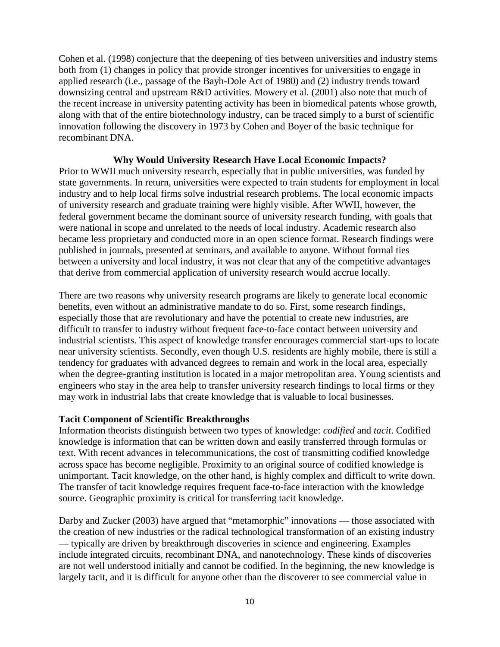Cohen et al. (1998) conjecture that the deepening of ties between universities and industry stems both from (1) changes in policy that provide stronger incentives for universities to engage in applied research (i.e., passage of the Bayh-Dole Act of 1980) and (2) industry trends toward downsizing central and upstream R&D activities. Mowery et al. (2001) also note that much of the recent increase in university patenting activity has been in biomedical patents whose growth, along with that of the entire biotechnology industry, can be traced simply to a burst of scientific innovation following the discovery in 1973 by Cohen and Boyer of the basic technique for recombinant DNA.

#### **Why Would University Research Have Local Economic Impacts?**

Prior to WWII much university research, especially that in public universities, was funded by state governments. In return, universities were expected to train students for employment in local industry and to help local firms solve industrial research problems. The local economic impacts of university research and graduate training were highly visible. After WWII, however, the federal government became the dominant source of university research funding, with goals that were national in scope and unrelated to the needs of local industry. Academic research also became less proprietary and conducted more in an open science format. Research findings were published in journals, presented at seminars, and available to anyone. Without formal ties between a university and local industry, it was not clear that any of the competitive advantages that derive from commercial application of university research would accrue locally.

There are two reasons why university research programs are likely to generate local economic benefits, even without an administrative mandate to do so. First, some research findings, especially those that are revolutionary and have the potential to create new industries, are difficult to transfer to industry without frequent face-to-face contact between university and industrial scientists. This aspect of knowledge transfer encourages commercial start-ups to locate near university scientists. Secondly, even though U.S. residents are highly mobile, there is still a tendency for graduates with advanced degrees to remain and work in the local area, especially when the degree-granting institution is located in a major metropolitan area. Young scientists and engineers who stay in the area help to transfer university research findings to local firms or they may work in industrial labs that create knowledge that is valuable to local businesses.

#### **Tacit Component of Scientific Breakthroughs**

Information theorists distinguish between two types of knowledge: *codified* and *tacit*. Codified knowledge is information that can be written down and easily transferred through formulas or text. With recent advances in telecommunications, the cost of transmitting codified knowledge across space has become negligible. Proximity to an original source of codified knowledge is unimportant. Tacit knowledge, on the other hand, is highly complex and difficult to write down. The transfer of tacit knowledge requires frequent face-to-face interaction with the knowledge source. Geographic proximity is critical for transferring tacit knowledge.

Darby and Zucker (2003) have argued that "metamorphic" innovations — those associated with the creation of new industries or the radical technological transformation of an existing industry — typically are driven by breakthrough discoveries in science and engineering. Examples include integrated circuits, recombinant DNA, and nanotechnology. These kinds of discoveries are not well understood initially and cannot be codified. In the beginning, the new knowledge is largely tacit, and it is difficult for anyone other than the discoverer to see commercial value in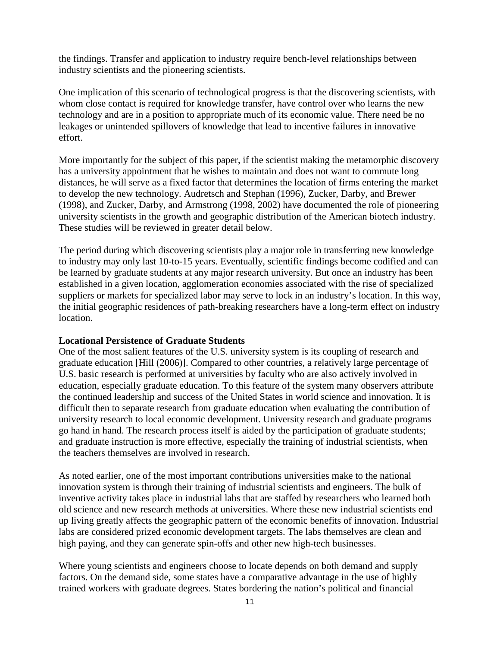the findings. Transfer and application to industry require bench-level relationships between industry scientists and the pioneering scientists.

One implication of this scenario of technological progress is that the discovering scientists, with whom close contact is required for knowledge transfer, have control over who learns the new technology and are in a position to appropriate much of its economic value. There need be no leakages or unintended spillovers of knowledge that lead to incentive failures in innovative effort.

More importantly for the subject of this paper, if the scientist making the metamorphic discovery has a university appointment that he wishes to maintain and does not want to commute long distances, he will serve as a fixed factor that determines the location of firms entering the market to develop the new technology. Audretsch and Stephan (1996), Zucker, Darby, and Brewer (1998), and Zucker, Darby, and Armstrong (1998, 2002) have documented the role of pioneering university scientists in the growth and geographic distribution of the American biotech industry. These studies will be reviewed in greater detail below.

The period during which discovering scientists play a major role in transferring new knowledge to industry may only last 10-to-15 years. Eventually, scientific findings become codified and can be learned by graduate students at any major research university. But once an industry has been established in a given location, agglomeration economies associated with the rise of specialized suppliers or markets for specialized labor may serve to lock in an industry's location. In this way, the initial geographic residences of path-breaking researchers have a long-term effect on industry location.

### **Locational Persistence of Graduate Students**

One of the most salient features of the U.S. university system is its coupling of research and graduate education [Hill (2006)]. Compared to other countries, a relatively large percentage of U.S. basic research is performed at universities by faculty who are also actively involved in education, especially graduate education. To this feature of the system many observers attribute the continued leadership and success of the United States in world science and innovation. It is difficult then to separate research from graduate education when evaluating the contribution of university research to local economic development. University research and graduate programs go hand in hand. The research process itself is aided by the participation of graduate students; and graduate instruction is more effective, especially the training of industrial scientists, when the teachers themselves are involved in research.

As noted earlier, one of the most important contributions universities make to the national innovation system is through their training of industrial scientists and engineers. The bulk of inventive activity takes place in industrial labs that are staffed by researchers who learned both old science and new research methods at universities. Where these new industrial scientists end up living greatly affects the geographic pattern of the economic benefits of innovation. Industrial labs are considered prized economic development targets. The labs themselves are clean and high paying, and they can generate spin-offs and other new high-tech businesses.

Where young scientists and engineers choose to locate depends on both demand and supply factors. On the demand side, some states have a comparative advantage in the use of highly trained workers with graduate degrees. States bordering the nation's political and financial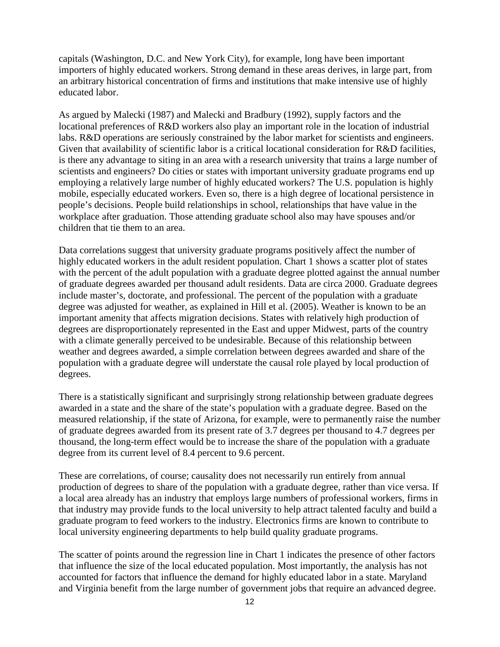capitals (Washington, D.C. and New York City), for example, long have been important importers of highly educated workers. Strong demand in these areas derives, in large part, from an arbitrary historical concentration of firms and institutions that make intensive use of highly educated labor.

As argued by Malecki (1987) and Malecki and Bradbury (1992), supply factors and the locational preferences of R&D workers also play an important role in the location of industrial labs. R&D operations are seriously constrained by the labor market for scientists and engineers. Given that availability of scientific labor is a critical locational consideration for R&D facilities, is there any advantage to siting in an area with a research university that trains a large number of scientists and engineers? Do cities or states with important university graduate programs end up employing a relatively large number of highly educated workers? The U.S. population is highly mobile, especially educated workers. Even so, there is a high degree of locational persistence in people's decisions. People build relationships in school, relationships that have value in the workplace after graduation. Those attending graduate school also may have spouses and/or children that tie them to an area.

Data correlations suggest that university graduate programs positively affect the number of highly educated workers in the adult resident population. Chart 1 shows a scatter plot of states with the percent of the adult population with a graduate degree plotted against the annual number of graduate degrees awarded per thousand adult residents. Data are circa 2000. Graduate degrees include master's, doctorate, and professional. The percent of the population with a graduate degree was adjusted for weather, as explained in Hill et al. (2005). Weather is known to be an important amenity that affects migration decisions. States with relatively high production of degrees are disproportionately represented in the East and upper Midwest, parts of the country with a climate generally perceived to be undesirable. Because of this relationship between weather and degrees awarded, a simple correlation between degrees awarded and share of the population with a graduate degree will understate the causal role played by local production of degrees.

There is a statistically significant and surprisingly strong relationship between graduate degrees awarded in a state and the share of the state's population with a graduate degree. Based on the measured relationship, if the state of Arizona, for example, were to permanently raise the number of graduate degrees awarded from its present rate of 3.7 degrees per thousand to 4.7 degrees per thousand, the long-term effect would be to increase the share of the population with a graduate degree from its current level of 8.4 percent to 9.6 percent.

These are correlations, of course; causality does not necessarily run entirely from annual production of degrees to share of the population with a graduate degree, rather than vice versa. If a local area already has an industry that employs large numbers of professional workers, firms in that industry may provide funds to the local university to help attract talented faculty and build a graduate program to feed workers to the industry. Electronics firms are known to contribute to local university engineering departments to help build quality graduate programs.

The scatter of points around the regression line in Chart 1 indicates the presence of other factors that influence the size of the local educated population. Most importantly, the analysis has not accounted for factors that influence the demand for highly educated labor in a state. Maryland and Virginia benefit from the large number of government jobs that require an advanced degree.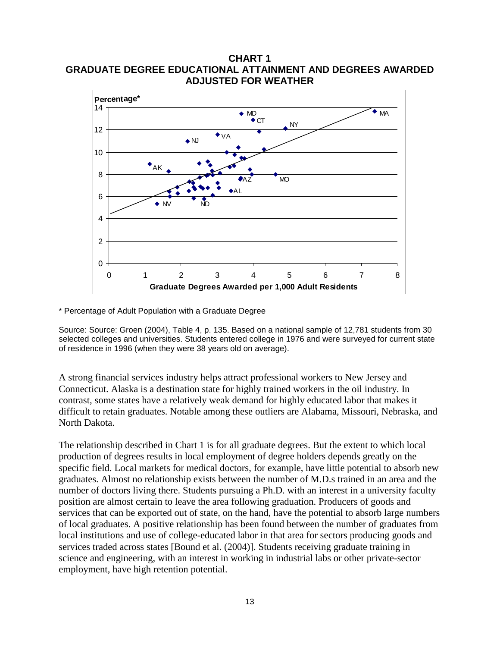**CHART 1 GRADUATE DEGREE EDUCATIONAL ATTAINMENT AND DEGREES AWARDED ADJUSTED FOR WEATHER**



\* Percentage of Adult Population with a Graduate Degree

Source: Source: Groen (2004), Table 4, p. 135. Based on a national sample of 12,781 students from 30 selected colleges and universities. Students entered college in 1976 and were surveyed for current state of residence in 1996 (when they were 38 years old on average).

A strong financial services industry helps attract professional workers to New Jersey and Connecticut. Alaska is a destination state for highly trained workers in the oil industry. In contrast, some states have a relatively weak demand for highly educated labor that makes it difficult to retain graduates. Notable among these outliers are Alabama, Missouri, Nebraska, and North Dakota.

The relationship described in Chart 1 is for all graduate degrees. But the extent to which local production of degrees results in local employment of degree holders depends greatly on the specific field. Local markets for medical doctors, for example, have little potential to absorb new graduates. Almost no relationship exists between the number of M.D.s trained in an area and the number of doctors living there. Students pursuing a Ph.D. with an interest in a university faculty position are almost certain to leave the area following graduation. Producers of goods and services that can be exported out of state, on the hand, have the potential to absorb large numbers of local graduates. A positive relationship has been found between the number of graduates from local institutions and use of college-educated labor in that area for sectors producing goods and services traded across states [Bound et al. (2004)]. Students receiving graduate training in science and engineering, with an interest in working in industrial labs or other private-sector employment, have high retention potential.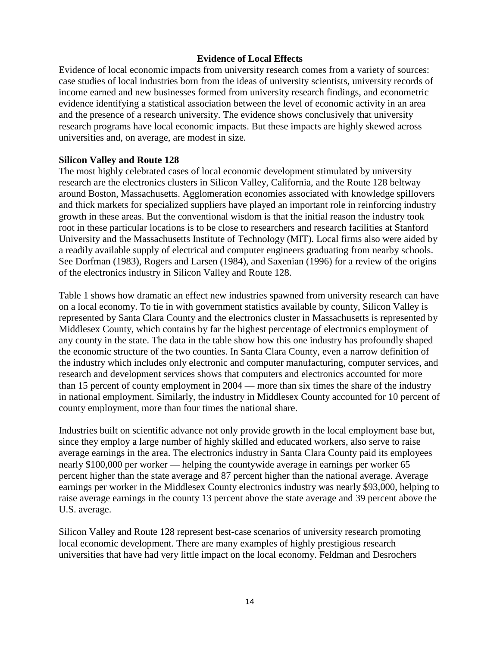### **Evidence of Local Effects**

Evidence of local economic impacts from university research comes from a variety of sources: case studies of local industries born from the ideas of university scientists, university records of income earned and new businesses formed from university research findings, and econometric evidence identifying a statistical association between the level of economic activity in an area and the presence of a research university. The evidence shows conclusively that university research programs have local economic impacts. But these impacts are highly skewed across universities and, on average, are modest in size.

#### **Silicon Valley and Route 128**

The most highly celebrated cases of local economic development stimulated by university research are the electronics clusters in Silicon Valley, California, and the Route 128 beltway around Boston, Massachusetts. Agglomeration economies associated with knowledge spillovers and thick markets for specialized suppliers have played an important role in reinforcing industry growth in these areas. But the conventional wisdom is that the initial reason the industry took root in these particular locations is to be close to researchers and research facilities at Stanford University and the Massachusetts Institute of Technology (MIT). Local firms also were aided by a readily available supply of electrical and computer engineers graduating from nearby schools. See Dorfman (1983), Rogers and Larsen (1984), and Saxenian (1996) for a review of the origins of the electronics industry in Silicon Valley and Route 128.

Table 1 shows how dramatic an effect new industries spawned from university research can have on a local economy. To tie in with government statistics available by county, Silicon Valley is represented by Santa Clara County and the electronics cluster in Massachusetts is represented by Middlesex County, which contains by far the highest percentage of electronics employment of any county in the state. The data in the table show how this one industry has profoundly shaped the economic structure of the two counties. In Santa Clara County, even a narrow definition of the industry which includes only electronic and computer manufacturing, computer services, and research and development services shows that computers and electronics accounted for more than 15 percent of county employment in 2004 — more than six times the share of the industry in national employment. Similarly, the industry in Middlesex County accounted for 10 percent of county employment, more than four times the national share.

Industries built on scientific advance not only provide growth in the local employment base but, since they employ a large number of highly skilled and educated workers, also serve to raise average earnings in the area. The electronics industry in Santa Clara County paid its employees nearly \$100,000 per worker — helping the countywide average in earnings per worker 65 percent higher than the state average and 87 percent higher than the national average. Average earnings per worker in the Middlesex County electronics industry was nearly \$93,000, helping to raise average earnings in the county 13 percent above the state average and 39 percent above the U.S. average.

Silicon Valley and Route 128 represent best-case scenarios of university research promoting local economic development. There are many examples of highly prestigious research universities that have had very little impact on the local economy. Feldman and Desrochers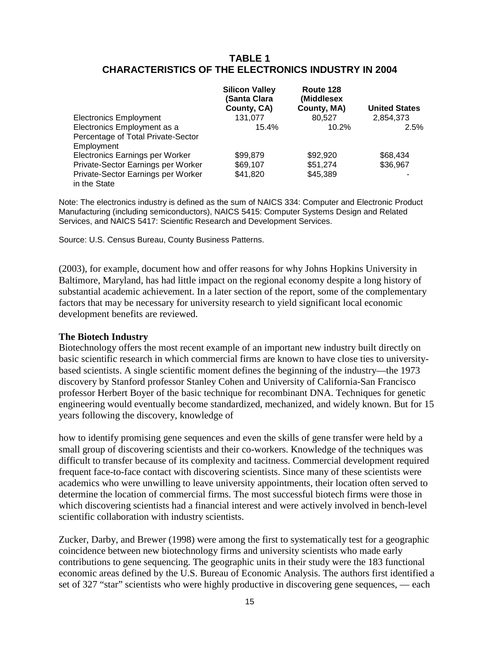## **TABLE 1 CHARACTERISTICS OF THE ELECTRONICS INDUSTRY IN 2004**

|                                                    | <b>Silicon Valley</b><br>(Santa Clara<br>County, CA) | Route 128<br>(Middlesex<br>County, MA) | <b>United States</b> |
|----------------------------------------------------|------------------------------------------------------|----------------------------------------|----------------------|
| <b>Electronics Employment</b>                      | 131.077                                              | 80.527                                 | 2,854,373            |
| Electronics Employment as a                        | 15.4%                                                | 10.2%                                  | 2.5%                 |
| Percentage of Total Private-Sector                 |                                                      |                                        |                      |
| Employment                                         |                                                      |                                        |                      |
| Electronics Earnings per Worker                    | \$99,879                                             | \$92,920                               | \$68,434             |
| Private-Sector Earnings per Worker                 | \$69,107                                             | \$51,274                               | \$36,967             |
| Private-Sector Earnings per Worker<br>in the State | \$41,820                                             | \$45,389                               |                      |

Note: The electronics industry is defined as the sum of NAICS 334: Computer and Electronic Product Manufacturing (including semiconductors), NAICS 5415: Computer Systems Design and Related Services, and NAICS 5417: Scientific Research and Development Services.

Source: U.S. Census Bureau, County Business Patterns.

(2003), for example, document how and offer reasons for why Johns Hopkins University in Baltimore, Maryland, has had little impact on the regional economy despite a long history of substantial academic achievement. In a later section of the report, some of the complementary factors that may be necessary for university research to yield significant local economic development benefits are reviewed.

#### **The Biotech Industry**

Biotechnology offers the most recent example of an important new industry built directly on basic scientific research in which commercial firms are known to have close ties to universitybased scientists. A single scientific moment defines the beginning of the industry—the 1973 discovery by Stanford professor Stanley Cohen and University of California-San Francisco professor Herbert Boyer of the basic technique for recombinant DNA. Techniques for genetic engineering would eventually become standardized, mechanized, and widely known. But for 15 years following the discovery, knowledge of

how to identify promising gene sequences and even the skills of gene transfer were held by a small group of discovering scientists and their co-workers. Knowledge of the techniques was difficult to transfer because of its complexity and tacitness. Commercial development required frequent face-to-face contact with discovering scientists. Since many of these scientists were academics who were unwilling to leave university appointments, their location often served to determine the location of commercial firms. The most successful biotech firms were those in which discovering scientists had a financial interest and were actively involved in bench-level scientific collaboration with industry scientists.

Zucker, Darby, and Brewer (1998) were among the first to systematically test for a geographic coincidence between new biotechnology firms and university scientists who made early contributions to gene sequencing. The geographic units in their study were the 183 functional economic areas defined by the U.S. Bureau of Economic Analysis. The authors first identified a set of 327 "star" scientists who were highly productive in discovering gene sequences, — each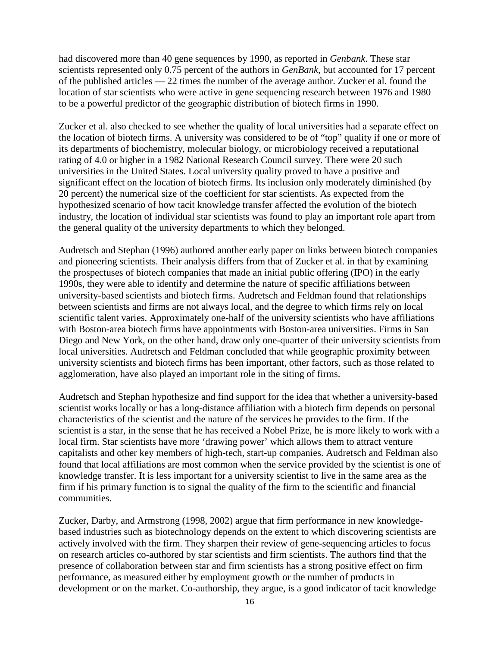had discovered more than 40 gene sequences by 1990, as reported in *Genbank*. These star scientists represented only 0.75 percent of the authors in *GenBank*, but accounted for 17 percent of the published articles — 22 times the number of the average author. Zucker et al. found the location of star scientists who were active in gene sequencing research between 1976 and 1980 to be a powerful predictor of the geographic distribution of biotech firms in 1990.

Zucker et al. also checked to see whether the quality of local universities had a separate effect on the location of biotech firms. A university was considered to be of "top" quality if one or more of its departments of biochemistry, molecular biology, or microbiology received a reputational rating of 4.0 or higher in a 1982 National Research Council survey. There were 20 such universities in the United States. Local university quality proved to have a positive and significant effect on the location of biotech firms. Its inclusion only moderately diminished (by 20 percent) the numerical size of the coefficient for star scientists. As expected from the hypothesized scenario of how tacit knowledge transfer affected the evolution of the biotech industry, the location of individual star scientists was found to play an important role apart from the general quality of the university departments to which they belonged.

Audretsch and Stephan (1996) authored another early paper on links between biotech companies and pioneering scientists. Their analysis differs from that of Zucker et al. in that by examining the prospectuses of biotech companies that made an initial public offering (IPO) in the early 1990s, they were able to identify and determine the nature of specific affiliations between university-based scientists and biotech firms. Audretsch and Feldman found that relationships between scientists and firms are not always local, and the degree to which firms rely on local scientific talent varies. Approximately one-half of the university scientists who have affiliations with Boston-area biotech firms have appointments with Boston-area universities. Firms in San Diego and New York, on the other hand, draw only one-quarter of their university scientists from local universities. Audretsch and Feldman concluded that while geographic proximity between university scientists and biotech firms has been important, other factors, such as those related to agglomeration, have also played an important role in the siting of firms.

Audretsch and Stephan hypothesize and find support for the idea that whether a university-based scientist works locally or has a long-distance affiliation with a biotech firm depends on personal characteristics of the scientist and the nature of the services he provides to the firm. If the scientist is a star, in the sense that he has received a Nobel Prize, he is more likely to work with a local firm. Star scientists have more 'drawing power' which allows them to attract venture capitalists and other key members of high-tech, start-up companies. Audretsch and Feldman also found that local affiliations are most common when the service provided by the scientist is one of knowledge transfer. It is less important for a university scientist to live in the same area as the firm if his primary function is to signal the quality of the firm to the scientific and financial communities.

Zucker, Darby, and Armstrong (1998, 2002) argue that firm performance in new knowledgebased industries such as biotechnology depends on the extent to which discovering scientists are actively involved with the firm. They sharpen their review of gene-sequencing articles to focus on research articles co-authored by star scientists and firm scientists. The authors find that the presence of collaboration between star and firm scientists has a strong positive effect on firm performance, as measured either by employment growth or the number of products in development or on the market. Co-authorship, they argue, is a good indicator of tacit knowledge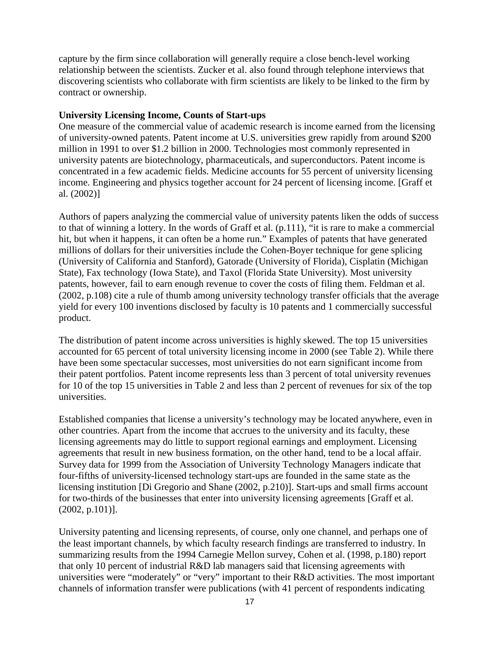capture by the firm since collaboration will generally require a close bench-level working relationship between the scientists. Zucker et al. also found through telephone interviews that discovering scientists who collaborate with firm scientists are likely to be linked to the firm by contract or ownership.

#### **University Licensing Income, Counts of Start-ups**

One measure of the commercial value of academic research is income earned from the licensing of university-owned patents. Patent income at U.S. universities grew rapidly from around \$200 million in 1991 to over \$1.2 billion in 2000. Technologies most commonly represented in university patents are biotechnology, pharmaceuticals, and superconductors. Patent income is concentrated in a few academic fields. Medicine accounts for 55 percent of university licensing income. Engineering and physics together account for 24 percent of licensing income. [Graff et al. (2002)]

Authors of papers analyzing the commercial value of university patents liken the odds of success to that of winning a lottery. In the words of Graff et al. (p.111), "it is rare to make a commercial hit, but when it happens, it can often be a home run." Examples of patents that have generated millions of dollars for their universities include the Cohen-Boyer technique for gene splicing (University of California and Stanford), Gatorade (University of Florida), Cisplatin (Michigan State), Fax technology (Iowa State), and Taxol (Florida State University). Most university patents, however, fail to earn enough revenue to cover the costs of filing them. Feldman et al. (2002, p.108) cite a rule of thumb among university technology transfer officials that the average yield for every 100 inventions disclosed by faculty is 10 patents and 1 commercially successful product.

The distribution of patent income across universities is highly skewed. The top 15 universities accounted for 65 percent of total university licensing income in 2000 (see Table 2). While there have been some spectacular successes, most universities do not earn significant income from their patent portfolios. Patent income represents less than 3 percent of total university revenues for 10 of the top 15 universities in Table 2 and less than 2 percent of revenues for six of the top universities.

Established companies that license a university's technology may be located anywhere, even in other countries. Apart from the income that accrues to the university and its faculty, these licensing agreements may do little to support regional earnings and employment. Licensing agreements that result in new business formation, on the other hand, tend to be a local affair. Survey data for 1999 from the Association of University Technology Managers indicate that four-fifths of university-licensed technology start-ups are founded in the same state as the licensing institution [Di Gregorio and Shane (2002, p.210)]. Start-ups and small firms account for two-thirds of the businesses that enter into university licensing agreements [Graff et al. (2002, p.101)].

University patenting and licensing represents, of course, only one channel, and perhaps one of the least important channels, by which faculty research findings are transferred to industry. In summarizing results from the 1994 Carnegie Mellon survey, Cohen et al. (1998, p.180) report that only 10 percent of industrial R&D lab managers said that licensing agreements with universities were "moderately" or "very" important to their R&D activities. The most important channels of information transfer were publications (with 41 percent of respondents indicating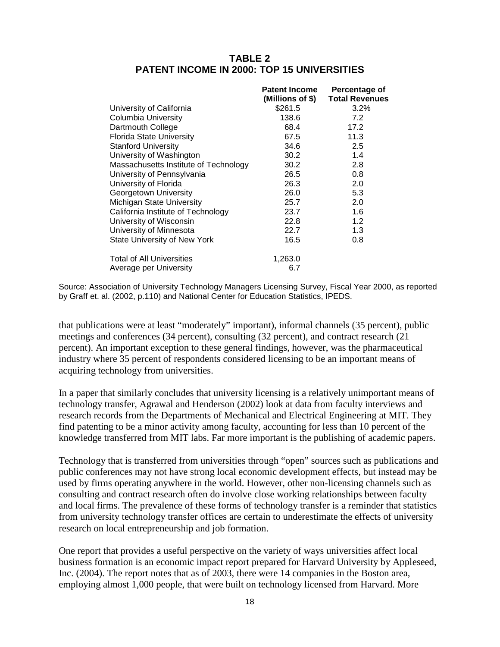## **TABLE 2 PATENT INCOME IN 2000: TOP 15 UNIVERSITIES**

|                                       | <b>Patent Income</b> | Percentage of         |
|---------------------------------------|----------------------|-----------------------|
|                                       | (Millions of \$)     | <b>Total Revenues</b> |
| University of California              | \$261.5              | 3.2%                  |
| <b>Columbia University</b>            | 138.6                | 7.2                   |
| Dartmouth College                     | 68.4                 | 17.2                  |
| <b>Florida State University</b>       | 67.5                 | 11.3                  |
| <b>Stanford University</b>            | 34.6                 | 2.5                   |
| University of Washington              | 30.2                 | 1.4                   |
| Massachusetts Institute of Technology | 30.2                 | 2.8                   |
| University of Pennsylvania            | 26.5                 | 0.8                   |
| University of Florida                 | 26.3                 | 2.0                   |
| Georgetown University                 | 26.0                 | 5.3                   |
| Michigan State University             | 25.7                 | 2.0                   |
| California Institute of Technology    | 23.7                 | 1.6                   |
| University of Wisconsin               | 22.8                 | 1.2                   |
| University of Minnesota               | 22.7                 | 1.3                   |
| <b>State University of New York</b>   | 16.5                 | 0.8                   |
| <b>Total of All Universities</b>      | 1,263.0              |                       |
| Average per University                | 6.7                  |                       |
|                                       |                      |                       |

Source: Association of University Technology Managers Licensing Survey, Fiscal Year 2000, as reported by Graff et. al. (2002, p.110) and National Center for Education Statistics, IPEDS.

that publications were at least "moderately" important), informal channels (35 percent), public meetings and conferences (34 percent), consulting (32 percent), and contract research (21 percent). An important exception to these general findings, however, was the pharmaceutical industry where 35 percent of respondents considered licensing to be an important means of acquiring technology from universities.

In a paper that similarly concludes that university licensing is a relatively unimportant means of technology transfer, Agrawal and Henderson (2002) look at data from faculty interviews and research records from the Departments of Mechanical and Electrical Engineering at MIT. They find patenting to be a minor activity among faculty, accounting for less than 10 percent of the knowledge transferred from MIT labs. Far more important is the publishing of academic papers.

Technology that is transferred from universities through "open" sources such as publications and public conferences may not have strong local economic development effects, but instead may be used by firms operating anywhere in the world. However, other non-licensing channels such as consulting and contract research often do involve close working relationships between faculty and local firms. The prevalence of these forms of technology transfer is a reminder that statistics from university technology transfer offices are certain to underestimate the effects of university research on local entrepreneurship and job formation.

One report that provides a useful perspective on the variety of ways universities affect local business formation is an economic impact report prepared for Harvard University by Appleseed, Inc. (2004). The report notes that as of 2003, there were 14 companies in the Boston area, employing almost 1,000 people, that were built on technology licensed from Harvard. More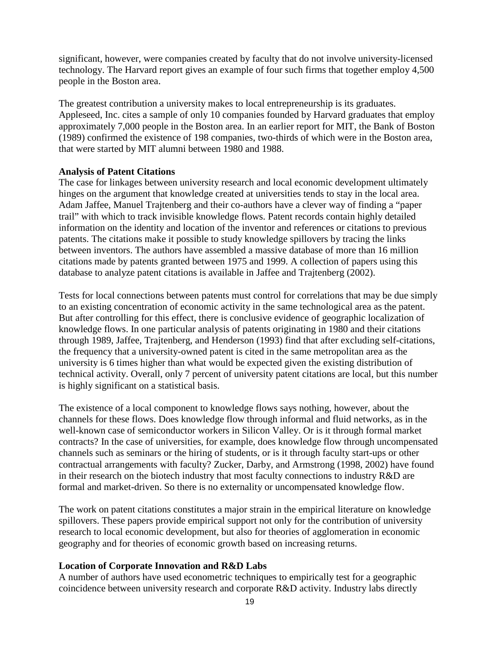significant, however, were companies created by faculty that do not involve university-licensed technology. The Harvard report gives an example of four such firms that together employ 4,500 people in the Boston area.

The greatest contribution a university makes to local entrepreneurship is its graduates. Appleseed, Inc. cites a sample of only 10 companies founded by Harvard graduates that employ approximately 7,000 people in the Boston area. In an earlier report for MIT, the Bank of Boston (1989) confirmed the existence of 198 companies, two-thirds of which were in the Boston area, that were started by MIT alumni between 1980 and 1988.

### **Analysis of Patent Citations**

The case for linkages between university research and local economic development ultimately hinges on the argument that knowledge created at universities tends to stay in the local area. Adam Jaffee, Manuel Trajtenberg and their co-authors have a clever way of finding a "paper trail" with which to track invisible knowledge flows. Patent records contain highly detailed information on the identity and location of the inventor and references or citations to previous patents. The citations make it possible to study knowledge spillovers by tracing the links between inventors. The authors have assembled a massive database of more than 16 million citations made by patents granted between 1975 and 1999. A collection of papers using this database to analyze patent citations is available in Jaffee and Trajtenberg (2002).

Tests for local connections between patents must control for correlations that may be due simply to an existing concentration of economic activity in the same technological area as the patent. But after controlling for this effect, there is conclusive evidence of geographic localization of knowledge flows. In one particular analysis of patents originating in 1980 and their citations through 1989, Jaffee, Trajtenberg, and Henderson (1993) find that after excluding self-citations, the frequency that a university-owned patent is cited in the same metropolitan area as the university is 6 times higher than what would be expected given the existing distribution of technical activity. Overall, only 7 percent of university patent citations are local, but this number is highly significant on a statistical basis.

The existence of a local component to knowledge flows says nothing, however, about the channels for these flows. Does knowledge flow through informal and fluid networks, as in the well-known case of semiconductor workers in Silicon Valley. Or is it through formal market contracts? In the case of universities, for example, does knowledge flow through uncompensated channels such as seminars or the hiring of students, or is it through faculty start-ups or other contractual arrangements with faculty? Zucker, Darby, and Armstrong (1998, 2002) have found in their research on the biotech industry that most faculty connections to industry R&D are formal and market-driven. So there is no externality or uncompensated knowledge flow.

The work on patent citations constitutes a major strain in the empirical literature on knowledge spillovers. These papers provide empirical support not only for the contribution of university research to local economic development, but also for theories of agglomeration in economic geography and for theories of economic growth based on increasing returns.

## **Location of Corporate Innovation and R&D Labs**

A number of authors have used econometric techniques to empirically test for a geographic coincidence between university research and corporate R&D activity. Industry labs directly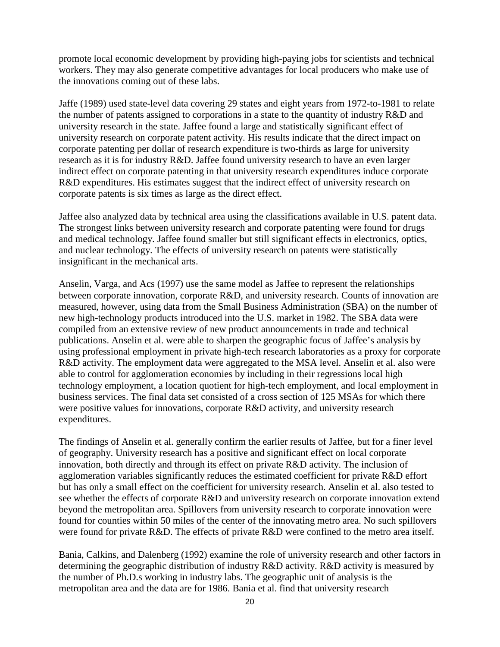promote local economic development by providing high-paying jobs for scientists and technical workers. They may also generate competitive advantages for local producers who make use of the innovations coming out of these labs.

Jaffe (1989) used state-level data covering 29 states and eight years from 1972-to-1981 to relate the number of patents assigned to corporations in a state to the quantity of industry R&D and university research in the state. Jaffee found a large and statistically significant effect of university research on corporate patent activity. His results indicate that the direct impact on corporate patenting per dollar of research expenditure is two-thirds as large for university research as it is for industry R&D. Jaffee found university research to have an even larger indirect effect on corporate patenting in that university research expenditures induce corporate R&D expenditures. His estimates suggest that the indirect effect of university research on corporate patents is six times as large as the direct effect.

Jaffee also analyzed data by technical area using the classifications available in U.S. patent data. The strongest links between university research and corporate patenting were found for drugs and medical technology. Jaffee found smaller but still significant effects in electronics, optics, and nuclear technology. The effects of university research on patents were statistically insignificant in the mechanical arts.

Anselin, Varga, and Acs (1997) use the same model as Jaffee to represent the relationships between corporate innovation, corporate R&D, and university research. Counts of innovation are measured, however, using data from the Small Business Administration (SBA) on the number of new high-technology products introduced into the U.S. market in 1982. The SBA data were compiled from an extensive review of new product announcements in trade and technical publications. Anselin et al. were able to sharpen the geographic focus of Jaffee's analysis by using professional employment in private high-tech research laboratories as a proxy for corporate R&D activity. The employment data were aggregated to the MSA level. Anselin et al. also were able to control for agglomeration economies by including in their regressions local high technology employment, a location quotient for high-tech employment, and local employment in business services. The final data set consisted of a cross section of 125 MSAs for which there were positive values for innovations, corporate R&D activity, and university research expenditures.

The findings of Anselin et al. generally confirm the earlier results of Jaffee, but for a finer level of geography. University research has a positive and significant effect on local corporate innovation, both directly and through its effect on private R&D activity. The inclusion of agglomeration variables significantly reduces the estimated coefficient for private R&D effort but has only a small effect on the coefficient for university research. Anselin et al. also tested to see whether the effects of corporate R&D and university research on corporate innovation extend beyond the metropolitan area. Spillovers from university research to corporate innovation were found for counties within 50 miles of the center of the innovating metro area. No such spillovers were found for private R&D. The effects of private R&D were confined to the metro area itself.

Bania, Calkins, and Dalenberg (1992) examine the role of university research and other factors in determining the geographic distribution of industry R&D activity. R&D activity is measured by the number of Ph.D.s working in industry labs. The geographic unit of analysis is the metropolitan area and the data are for 1986. Bania et al. find that university research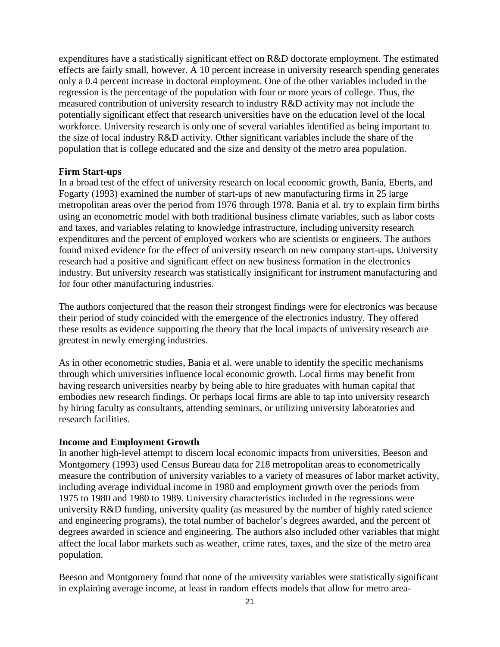expenditures have a statistically significant effect on R&D doctorate employment. The estimated effects are fairly small, however. A 10 percent increase in university research spending generates only a 0.4 percent increase in doctoral employment. One of the other variables included in the regression is the percentage of the population with four or more years of college. Thus, the measured contribution of university research to industry R&D activity may not include the potentially significant effect that research universities have on the education level of the local workforce. University research is only one of several variables identified as being important to the size of local industry R&D activity. Other significant variables include the share of the population that is college educated and the size and density of the metro area population.

#### **Firm Start-ups**

In a broad test of the effect of university research on local economic growth, Bania, Eberts, and Fogarty (1993) examined the number of start-ups of new manufacturing firms in 25 large metropolitan areas over the period from 1976 through 1978. Bania et al. try to explain firm births using an econometric model with both traditional business climate variables, such as labor costs and taxes, and variables relating to knowledge infrastructure, including university research expenditures and the percent of employed workers who are scientists or engineers. The authors found mixed evidence for the effect of university research on new company start-ups. University research had a positive and significant effect on new business formation in the electronics industry. But university research was statistically insignificant for instrument manufacturing and for four other manufacturing industries.

The authors conjectured that the reason their strongest findings were for electronics was because their period of study coincided with the emergence of the electronics industry. They offered these results as evidence supporting the theory that the local impacts of university research are greatest in newly emerging industries.

As in other econometric studies, Bania et al. were unable to identify the specific mechanisms through which universities influence local economic growth. Local firms may benefit from having research universities nearby by being able to hire graduates with human capital that embodies new research findings. Or perhaps local firms are able to tap into university research by hiring faculty as consultants, attending seminars, or utilizing university laboratories and research facilities.

#### **Income and Employment Growth**

In another high-level attempt to discern local economic impacts from universities, Beeson and Montgomery (1993) used Census Bureau data for 218 metropolitan areas to econometrically measure the contribution of university variables to a variety of measures of labor market activity, including average individual income in 1980 and employment growth over the periods from 1975 to 1980 and 1980 to 1989. University characteristics included in the regressions were university R&D funding, university quality (as measured by the number of highly rated science and engineering programs), the total number of bachelor's degrees awarded, and the percent of degrees awarded in science and engineering. The authors also included other variables that might affect the local labor markets such as weather, crime rates, taxes, and the size of the metro area population.

Beeson and Montgomery found that none of the university variables were statistically significant in explaining average income, at least in random effects models that allow for metro area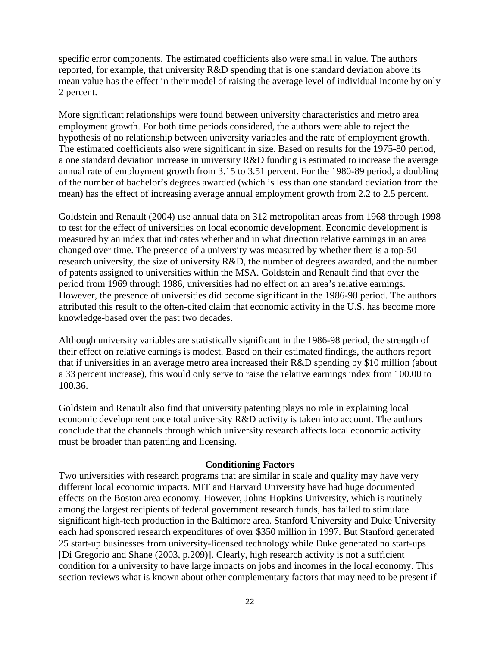specific error components. The estimated coefficients also were small in value. The authors reported, for example, that university R&D spending that is one standard deviation above its mean value has the effect in their model of raising the average level of individual income by only 2 percent.

More significant relationships were found between university characteristics and metro area employment growth. For both time periods considered, the authors were able to reject the hypothesis of no relationship between university variables and the rate of employment growth. The estimated coefficients also were significant in size. Based on results for the 1975-80 period, a one standard deviation increase in university R&D funding is estimated to increase the average annual rate of employment growth from 3.15 to 3.51 percent. For the 1980-89 period, a doubling of the number of bachelor's degrees awarded (which is less than one standard deviation from the mean) has the effect of increasing average annual employment growth from 2.2 to 2.5 percent.

Goldstein and Renault (2004) use annual data on 312 metropolitan areas from 1968 through 1998 to test for the effect of universities on local economic development. Economic development is measured by an index that indicates whether and in what direction relative earnings in an area changed over time. The presence of a university was measured by whether there is a top-50 research university, the size of university R&D, the number of degrees awarded, and the number of patents assigned to universities within the MSA. Goldstein and Renault find that over the period from 1969 through 1986, universities had no effect on an area's relative earnings. However, the presence of universities did become significant in the 1986-98 period. The authors attributed this result to the often-cited claim that economic activity in the U.S. has become more knowledge-based over the past two decades.

Although university variables are statistically significant in the 1986-98 period, the strength of their effect on relative earnings is modest. Based on their estimated findings, the authors report that if universities in an average metro area increased their R&D spending by \$10 million (about a 33 percent increase), this would only serve to raise the relative earnings index from 100.00 to 100.36.

Goldstein and Renault also find that university patenting plays no role in explaining local economic development once total university R&D activity is taken into account. The authors conclude that the channels through which university research affects local economic activity must be broader than patenting and licensing.

#### **Conditioning Factors**

Two universities with research programs that are similar in scale and quality may have very different local economic impacts. MIT and Harvard University have had huge documented effects on the Boston area economy. However, Johns Hopkins University, which is routinely among the largest recipients of federal government research funds, has failed to stimulate significant high-tech production in the Baltimore area. Stanford University and Duke University each had sponsored research expenditures of over \$350 million in 1997. But Stanford generated 25 start-up businesses from university-licensed technology while Duke generated no start-ups [Di Gregorio and Shane (2003, p.209)]. Clearly, high research activity is not a sufficient condition for a university to have large impacts on jobs and incomes in the local economy. This section reviews what is known about other complementary factors that may need to be present if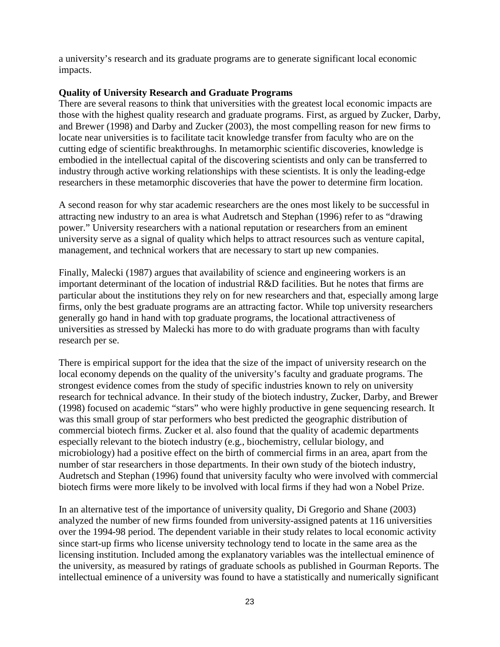a university's research and its graduate programs are to generate significant local economic impacts.

## **Quality of University Research and Graduate Programs**

There are several reasons to think that universities with the greatest local economic impacts are those with the highest quality research and graduate programs. First, as argued by Zucker, Darby, and Brewer (1998) and Darby and Zucker (2003), the most compelling reason for new firms to locate near universities is to facilitate tacit knowledge transfer from faculty who are on the cutting edge of scientific breakthroughs. In metamorphic scientific discoveries, knowledge is embodied in the intellectual capital of the discovering scientists and only can be transferred to industry through active working relationships with these scientists. It is only the leading-edge researchers in these metamorphic discoveries that have the power to determine firm location.

A second reason for why star academic researchers are the ones most likely to be successful in attracting new industry to an area is what Audretsch and Stephan (1996) refer to as "drawing power." University researchers with a national reputation or researchers from an eminent university serve as a signal of quality which helps to attract resources such as venture capital, management, and technical workers that are necessary to start up new companies.

Finally, Malecki (1987) argues that availability of science and engineering workers is an important determinant of the location of industrial R&D facilities. But he notes that firms are particular about the institutions they rely on for new researchers and that, especially among large firms, only the best graduate programs are an attracting factor. While top university researchers generally go hand in hand with top graduate programs, the locational attractiveness of universities as stressed by Malecki has more to do with graduate programs than with faculty research per se.

There is empirical support for the idea that the size of the impact of university research on the local economy depends on the quality of the university's faculty and graduate programs. The strongest evidence comes from the study of specific industries known to rely on university research for technical advance. In their study of the biotech industry, Zucker, Darby, and Brewer (1998) focused on academic "stars" who were highly productive in gene sequencing research. It was this small group of star performers who best predicted the geographic distribution of commercial biotech firms. Zucker et al. also found that the quality of academic departments especially relevant to the biotech industry (e.g., biochemistry, cellular biology, and microbiology) had a positive effect on the birth of commercial firms in an area, apart from the number of star researchers in those departments. In their own study of the biotech industry, Audretsch and Stephan (1996) found that university faculty who were involved with commercial biotech firms were more likely to be involved with local firms if they had won a Nobel Prize.

In an alternative test of the importance of university quality, Di Gregorio and Shane (2003) analyzed the number of new firms founded from university-assigned patents at 116 universities over the 1994-98 period. The dependent variable in their study relates to local economic activity since start-up firms who license university technology tend to locate in the same area as the licensing institution. Included among the explanatory variables was the intellectual eminence of the university, as measured by ratings of graduate schools as published in Gourman Reports. The intellectual eminence of a university was found to have a statistically and numerically significant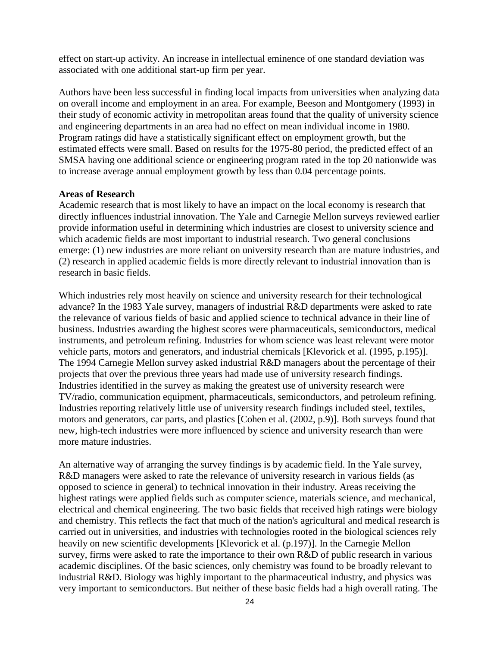effect on start-up activity. An increase in intellectual eminence of one standard deviation was associated with one additional start-up firm per year.

Authors have been less successful in finding local impacts from universities when analyzing data on overall income and employment in an area. For example, Beeson and Montgomery (1993) in their study of economic activity in metropolitan areas found that the quality of university science and engineering departments in an area had no effect on mean individual income in 1980. Program ratings did have a statistically significant effect on employment growth, but the estimated effects were small. Based on results for the 1975-80 period, the predicted effect of an SMSA having one additional science or engineering program rated in the top 20 nationwide was to increase average annual employment growth by less than 0.04 percentage points.

#### **Areas of Research**

Academic research that is most likely to have an impact on the local economy is research that directly influences industrial innovation. The Yale and Carnegie Mellon surveys reviewed earlier provide information useful in determining which industries are closest to university science and which academic fields are most important to industrial research. Two general conclusions emerge: (1) new industries are more reliant on university research than are mature industries, and (2) research in applied academic fields is more directly relevant to industrial innovation than is research in basic fields.

Which industries rely most heavily on science and university research for their technological advance? In the 1983 Yale survey, managers of industrial R&D departments were asked to rate the relevance of various fields of basic and applied science to technical advance in their line of business. Industries awarding the highest scores were pharmaceuticals, semiconductors, medical instruments, and petroleum refining. Industries for whom science was least relevant were motor vehicle parts, motors and generators, and industrial chemicals [Klevorick et al. (1995, p.195)]. The 1994 Carnegie Mellon survey asked industrial R&D managers about the percentage of their projects that over the previous three years had made use of university research findings. Industries identified in the survey as making the greatest use of university research were TV/radio, communication equipment, pharmaceuticals, semiconductors, and petroleum refining. Industries reporting relatively little use of university research findings included steel, textiles, motors and generators, car parts, and plastics [Cohen et al. (2002, p.9)]. Both surveys found that new, high-tech industries were more influenced by science and university research than were more mature industries.

An alternative way of arranging the survey findings is by academic field. In the Yale survey, R&D managers were asked to rate the relevance of university research in various fields (as opposed to science in general) to technical innovation in their industry. Areas receiving the highest ratings were applied fields such as computer science, materials science, and mechanical, electrical and chemical engineering. The two basic fields that received high ratings were biology and chemistry. This reflects the fact that much of the nation's agricultural and medical research is carried out in universities, and industries with technologies rooted in the biological sciences rely heavily on new scientific developments [Klevorick et al. (p.197)]. In the Carnegie Mellon survey, firms were asked to rate the importance to their own R&D of public research in various academic disciplines. Of the basic sciences, only chemistry was found to be broadly relevant to industrial R&D. Biology was highly important to the pharmaceutical industry, and physics was very important to semiconductors. But neither of these basic fields had a high overall rating. The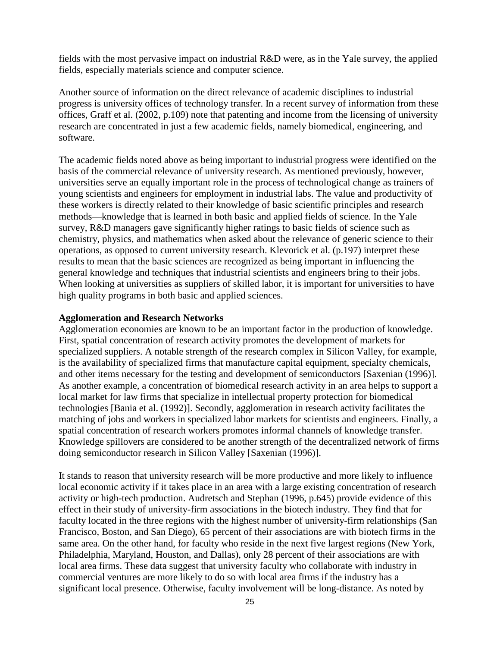fields with the most pervasive impact on industrial R&D were, as in the Yale survey, the applied fields, especially materials science and computer science.

Another source of information on the direct relevance of academic disciplines to industrial progress is university offices of technology transfer. In a recent survey of information from these offices, Graff et al. (2002, p.109) note that patenting and income from the licensing of university research are concentrated in just a few academic fields, namely biomedical, engineering, and software.

The academic fields noted above as being important to industrial progress were identified on the basis of the commercial relevance of university research. As mentioned previously, however, universities serve an equally important role in the process of technological change as trainers of young scientists and engineers for employment in industrial labs. The value and productivity of these workers is directly related to their knowledge of basic scientific principles and research methods—knowledge that is learned in both basic and applied fields of science. In the Yale survey, R&D managers gave significantly higher ratings to basic fields of science such as chemistry, physics, and mathematics when asked about the relevance of generic science to their operations, as opposed to current university research. Klevorick et al. (p.197) interpret these results to mean that the basic sciences are recognized as being important in influencing the general knowledge and techniques that industrial scientists and engineers bring to their jobs. When looking at universities as suppliers of skilled labor, it is important for universities to have high quality programs in both basic and applied sciences.

#### **Agglomeration and Research Networks**

Agglomeration economies are known to be an important factor in the production of knowledge. First, spatial concentration of research activity promotes the development of markets for specialized suppliers. A notable strength of the research complex in Silicon Valley, for example, is the availability of specialized firms that manufacture capital equipment, specialty chemicals, and other items necessary for the testing and development of semiconductors [Saxenian (1996)]. As another example, a concentration of biomedical research activity in an area helps to support a local market for law firms that specialize in intellectual property protection for biomedical technologies [Bania et al. (1992)]. Secondly, agglomeration in research activity facilitates the matching of jobs and workers in specialized labor markets for scientists and engineers. Finally, a spatial concentration of research workers promotes informal channels of knowledge transfer. Knowledge spillovers are considered to be another strength of the decentralized network of firms doing semiconductor research in Silicon Valley [Saxenian (1996)].

It stands to reason that university research will be more productive and more likely to influence local economic activity if it takes place in an area with a large existing concentration of research activity or high-tech production. Audretsch and Stephan (1996, p.645) provide evidence of this effect in their study of university-firm associations in the biotech industry. They find that for faculty located in the three regions with the highest number of university-firm relationships (San Francisco, Boston, and San Diego), 65 percent of their associations are with biotech firms in the same area. On the other hand, for faculty who reside in the next five largest regions (New York, Philadelphia, Maryland, Houston, and Dallas), only 28 percent of their associations are with local area firms. These data suggest that university faculty who collaborate with industry in commercial ventures are more likely to do so with local area firms if the industry has a significant local presence. Otherwise, faculty involvement will be long-distance. As noted by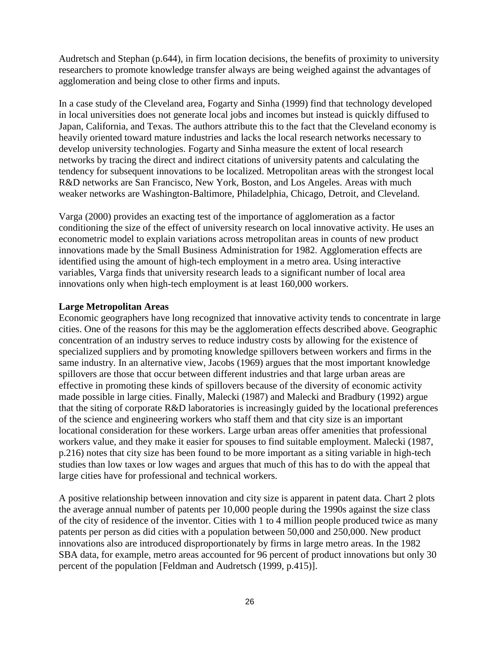Audretsch and Stephan (p.644), in firm location decisions, the benefits of proximity to university researchers to promote knowledge transfer always are being weighed against the advantages of agglomeration and being close to other firms and inputs.

In a case study of the Cleveland area, Fogarty and Sinha (1999) find that technology developed in local universities does not generate local jobs and incomes but instead is quickly diffused to Japan, California, and Texas. The authors attribute this to the fact that the Cleveland economy is heavily oriented toward mature industries and lacks the local research networks necessary to develop university technologies. Fogarty and Sinha measure the extent of local research networks by tracing the direct and indirect citations of university patents and calculating the tendency for subsequent innovations to be localized. Metropolitan areas with the strongest local R&D networks are San Francisco, New York, Boston, and Los Angeles. Areas with much weaker networks are Washington-Baltimore, Philadelphia, Chicago, Detroit, and Cleveland.

Varga (2000) provides an exacting test of the importance of agglomeration as a factor conditioning the size of the effect of university research on local innovative activity. He uses an econometric model to explain variations across metropolitan areas in counts of new product innovations made by the Small Business Administration for 1982. Agglomeration effects are identified using the amount of high-tech employment in a metro area. Using interactive variables, Varga finds that university research leads to a significant number of local area innovations only when high-tech employment is at least 160,000 workers.

## **Large Metropolitan Areas**

Economic geographers have long recognized that innovative activity tends to concentrate in large cities. One of the reasons for this may be the agglomeration effects described above. Geographic concentration of an industry serves to reduce industry costs by allowing for the existence of specialized suppliers and by promoting knowledge spillovers between workers and firms in the same industry. In an alternative view, Jacobs (1969) argues that the most important knowledge spillovers are those that occur between different industries and that large urban areas are effective in promoting these kinds of spillovers because of the diversity of economic activity made possible in large cities. Finally, Malecki (1987) and Malecki and Bradbury (1992) argue that the siting of corporate R&D laboratories is increasingly guided by the locational preferences of the science and engineering workers who staff them and that city size is an important locational consideration for these workers. Large urban areas offer amenities that professional workers value, and they make it easier for spouses to find suitable employment. Malecki (1987, p.216) notes that city size has been found to be more important as a siting variable in high-tech studies than low taxes or low wages and argues that much of this has to do with the appeal that large cities have for professional and technical workers.

A positive relationship between innovation and city size is apparent in patent data. Chart 2 plots the average annual number of patents per 10,000 people during the 1990s against the size class of the city of residence of the inventor. Cities with 1 to 4 million people produced twice as many patents per person as did cities with a population between 50,000 and 250,000. New product innovations also are introduced disproportionately by firms in large metro areas. In the 1982 SBA data, for example, metro areas accounted for 96 percent of product innovations but only 30 percent of the population [Feldman and Audretsch (1999, p.415)].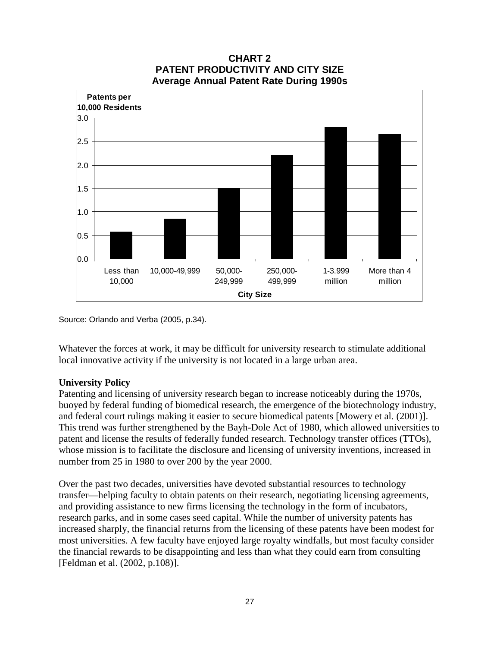

## **CHART 2 PATENT PRODUCTIVITY AND CITY SIZE Average Annual Patent Rate During 1990s**

Source: Orlando and Verba (2005, p.34).

Whatever the forces at work, it may be difficult for university research to stimulate additional local innovative activity if the university is not located in a large urban area.

### **University Policy**

Patenting and licensing of university research began to increase noticeably during the 1970s, buoyed by federal funding of biomedical research, the emergence of the biotechnology industry, and federal court rulings making it easier to secure biomedical patents [Mowery et al. (2001)]. This trend was further strengthened by the Bayh-Dole Act of 1980, which allowed universities to patent and license the results of federally funded research. Technology transfer offices (TTOs), whose mission is to facilitate the disclosure and licensing of university inventions, increased in number from 25 in 1980 to over 200 by the year 2000.

Over the past two decades, universities have devoted substantial resources to technology transfer—helping faculty to obtain patents on their research, negotiating licensing agreements, and providing assistance to new firms licensing the technology in the form of incubators, research parks, and in some cases seed capital. While the number of university patents has increased sharply, the financial returns from the licensing of these patents have been modest for most universities. A few faculty have enjoyed large royalty windfalls, but most faculty consider the financial rewards to be disappointing and less than what they could earn from consulting [Feldman et al. (2002, p.108)].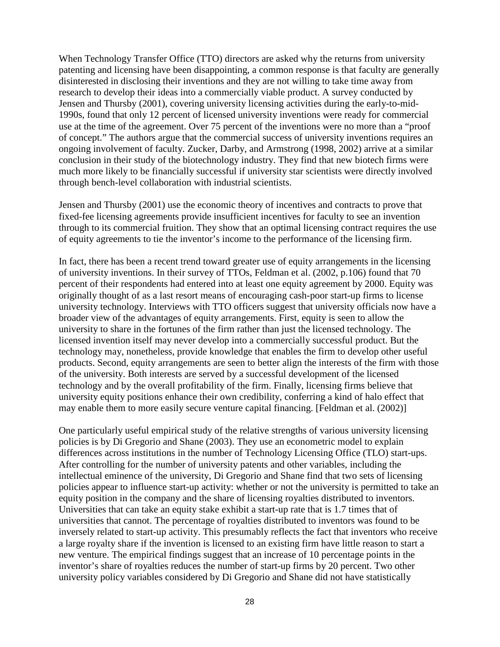When Technology Transfer Office (TTO) directors are asked why the returns from university patenting and licensing have been disappointing, a common response is that faculty are generally disinterested in disclosing their inventions and they are not willing to take time away from research to develop their ideas into a commercially viable product. A survey conducted by Jensen and Thursby (2001), covering university licensing activities during the early-to-mid-1990s, found that only 12 percent of licensed university inventions were ready for commercial use at the time of the agreement. Over 75 percent of the inventions were no more than a "proof of concept." The authors argue that the commercial success of university inventions requires an ongoing involvement of faculty. Zucker, Darby, and Armstrong (1998, 2002) arrive at a similar conclusion in their study of the biotechnology industry. They find that new biotech firms were much more likely to be financially successful if university star scientists were directly involved through bench-level collaboration with industrial scientists.

Jensen and Thursby (2001) use the economic theory of incentives and contracts to prove that fixed-fee licensing agreements provide insufficient incentives for faculty to see an invention through to its commercial fruition. They show that an optimal licensing contract requires the use of equity agreements to tie the inventor's income to the performance of the licensing firm.

In fact, there has been a recent trend toward greater use of equity arrangements in the licensing of university inventions. In their survey of TTOs, Feldman et al. (2002, p.106) found that 70 percent of their respondents had entered into at least one equity agreement by 2000. Equity was originally thought of as a last resort means of encouraging cash-poor start-up firms to license university technology. Interviews with TTO officers suggest that university officials now have a broader view of the advantages of equity arrangements. First, equity is seen to allow the university to share in the fortunes of the firm rather than just the licensed technology. The licensed invention itself may never develop into a commercially successful product. But the technology may, nonetheless, provide knowledge that enables the firm to develop other useful products. Second, equity arrangements are seen to better align the interests of the firm with those of the university. Both interests are served by a successful development of the licensed technology and by the overall profitability of the firm. Finally, licensing firms believe that university equity positions enhance their own credibility, conferring a kind of halo effect that may enable them to more easily secure venture capital financing. [Feldman et al. (2002)]

One particularly useful empirical study of the relative strengths of various university licensing policies is by Di Gregorio and Shane (2003). They use an econometric model to explain differences across institutions in the number of Technology Licensing Office (TLO) start-ups. After controlling for the number of university patents and other variables, including the intellectual eminence of the university, Di Gregorio and Shane find that two sets of licensing policies appear to influence start-up activity: whether or not the university is permitted to take an equity position in the company and the share of licensing royalties distributed to inventors. Universities that can take an equity stake exhibit a start-up rate that is 1.7 times that of universities that cannot. The percentage of royalties distributed to inventors was found to be inversely related to start-up activity. This presumably reflects the fact that inventors who receive a large royalty share if the invention is licensed to an existing firm have little reason to start a new venture. The empirical findings suggest that an increase of 10 percentage points in the inventor's share of royalties reduces the number of start-up firms by 20 percent. Two other university policy variables considered by Di Gregorio and Shane did not have statistically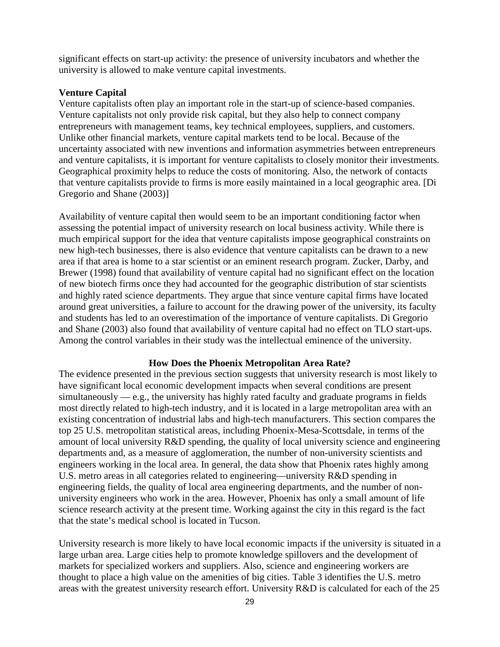significant effects on start-up activity: the presence of university incubators and whether the university is allowed to make venture capital investments.

## **Venture Capital**

Venture capitalists often play an important role in the start-up of science-based companies. Venture capitalists not only provide risk capital, but they also help to connect company entrepreneurs with management teams, key technical employees, suppliers, and customers. Unlike other financial markets, venture capital markets tend to be local. Because of the uncertainty associated with new inventions and information asymmetries between entrepreneurs and venture capitalists, it is important for venture capitalists to closely monitor their investments. Geographical proximity helps to reduce the costs of monitoring. Also, the network of contacts that venture capitalists provide to firms is more easily maintained in a local geographic area. [Di Gregorio and Shane (2003)]

Availability of venture capital then would seem to be an important conditioning factor when assessing the potential impact of university research on local business activity. While there is much empirical support for the idea that venture capitalists impose geographical constraints on new high-tech businesses, there is also evidence that venture capitalists can be drawn to a new area if that area is home to a star scientist or an eminent research program. Zucker, Darby, and Brewer (1998) found that availability of venture capital had no significant effect on the location of new biotech firms once they had accounted for the geographic distribution of star scientists and highly rated science departments. They argue that since venture capital firms have located around great universities, a failure to account for the drawing power of the university, its faculty and students has led to an overestimation of the importance of venture capitalists. Di Gregorio and Shane (2003) also found that availability of venture capital had no effect on TLO start-ups. Among the control variables in their study was the intellectual eminence of the university.

### **How Does the Phoenix Metropolitan Area Rate?**

The evidence presented in the previous section suggests that university research is most likely to have significant local economic development impacts when several conditions are present  $simultaneously - e.g.,$  the university has highly rated faculty and graduate programs in fields most directly related to high-tech industry, and it is located in a large metropolitan area with an existing concentration of industrial labs and high-tech manufacturers. This section compares the top 25 U.S. metropolitan statistical areas, including Phoenix-Mesa-Scottsdale, in terms of the amount of local university R&D spending, the quality of local university science and engineering departments and, as a measure of agglomeration, the number of non-university scientists and engineers working in the local area. In general, the data show that Phoenix rates highly among U.S. metro areas in all categories related to engineering—university R&D spending in engineering fields, the quality of local area engineering departments, and the number of nonuniversity engineers who work in the area. However, Phoenix has only a small amount of life science research activity at the present time. Working against the city in this regard is the fact that the state's medical school is located in Tucson.

University research is more likely to have local economic impacts if the university is situated in a large urban area. Large cities help to promote knowledge spillovers and the development of markets for specialized workers and suppliers. Also, science and engineering workers are thought to place a high value on the amenities of big cities. Table 3 identifies the U.S. metro areas with the greatest university research effort. University R&D is calculated for each of the 25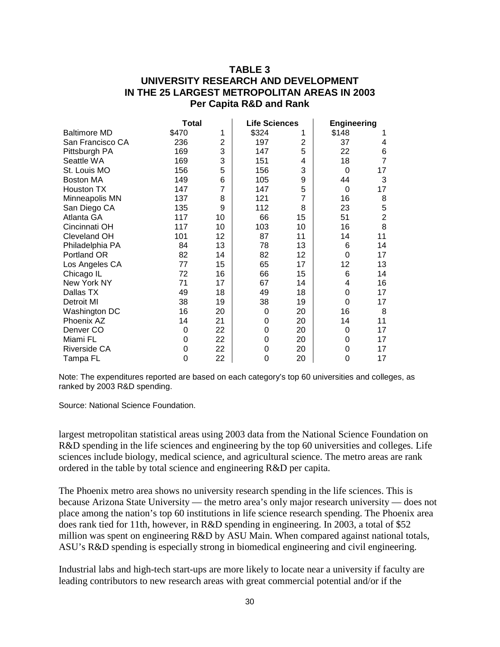## **TABLE 3 UNIVERSITY RESEARCH AND DEVELOPMENT IN THE 25 LARGEST METROPOLITAN AREAS IN 2003 Per Capita R&D and Rank**

|                     | <b>Total</b> |                | Life Sciences |    | <b>Engineering</b> |                |
|---------------------|--------------|----------------|---------------|----|--------------------|----------------|
| <b>Baltimore MD</b> | \$470        | 1              | \$324         |    | \$148              |                |
| San Francisco CA    | 236          | $\overline{2}$ | 197           | 2  | 37                 | 4              |
| Pittsburgh PA       | 169          | 3              | 147           | 5  | 22                 | 6              |
| Seattle WA          | 169          | 3              | 151           | 4  | 18                 | $\overline{7}$ |
| St. Louis MO        | 156          | 5              | 156           | 3  | 0                  | 17             |
| Boston MA           | 149          | 6              | 105           | 9  | 44                 | 3              |
| Houston TX          | 147          | $\overline{7}$ | 147           | 5  | 0                  | 17             |
| Minneapolis MN      | 137          | 8              | 121           | 7  | 16                 | 8              |
| San Diego CA        | 135          | 9              | 112           | 8  | 23                 | 5              |
| Atlanta GA          | 117          | 10             | 66            | 15 | 51                 | $\overline{c}$ |
| Cincinnati OH       | 117          | 10             | 103           | 10 | 16                 | 8              |
| Cleveland OH        | 101          | 12             | 87            | 11 | 14                 | 11             |
| Philadelphia PA     | 84           | 13             | 78            | 13 | 6                  | 14             |
| Portland OR         | 82           | 14             | 82            | 12 | 0                  | 17             |
| Los Angeles CA      | 77           | 15             | 65            | 17 | 12                 | 13             |
| Chicago IL          | 72           | 16             | 66            | 15 | 6                  | 14             |
| New York NY         | 71           | 17             | 67            | 14 | 4                  | 16             |
| Dallas TX           | 49           | 18             | 49            | 18 | 0                  | 17             |
| Detroit MI          | 38           | 19             | 38            | 19 | 0                  | 17             |
| Washington DC       | 16           | 20             | 0             | 20 | 16                 | 8              |
| Phoenix AZ          | 14           | 21             | 0             | 20 | 14                 | 11             |
| Denver CO           | 0            | 22             | 0             | 20 | 0                  | 17             |
| Miami FL            | 0            | 22             | 0             | 20 | 0                  | 17             |
| Riverside CA        | 0            | 22             | 0             | 20 | 0                  | 17             |
| Tampa FL            | 0            | 22             | 0             | 20 | 0                  | 17             |

Note: The expenditures reported are based on each category's top 60 universities and colleges, as ranked by 2003 R&D spending.

Source: National Science Foundation.

largest metropolitan statistical areas using 2003 data from the National Science Foundation on R&D spending in the life sciences and engineering by the top 60 universities and colleges. Life sciences include biology, medical science, and agricultural science. The metro areas are rank ordered in the table by total science and engineering R&D per capita.

The Phoenix metro area shows no university research spending in the life sciences. This is because Arizona State University — the metro area's only major research university — does not place among the nation's top 60 institutions in life science research spending. The Phoenix area does rank tied for 11th, however, in R&D spending in engineering. In 2003, a total of \$52 million was spent on engineering R&D by ASU Main. When compared against national totals, ASU's R&D spending is especially strong in biomedical engineering and civil engineering.

Industrial labs and high-tech start-ups are more likely to locate near a university if faculty are leading contributors to new research areas with great commercial potential and/or if the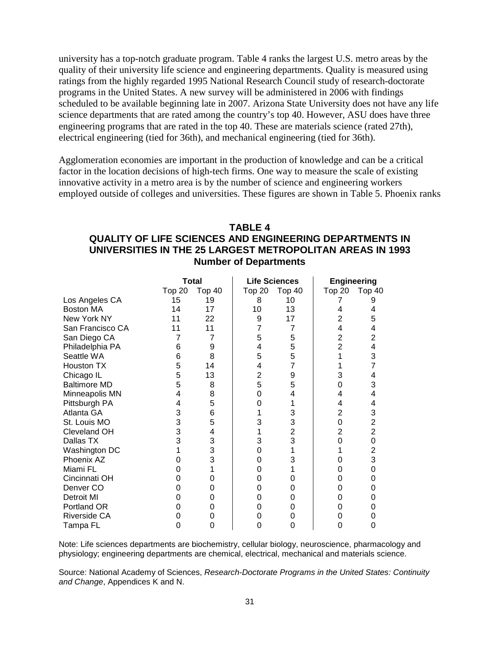university has a top-notch graduate program. Table 4 ranks the largest U.S. metro areas by the quality of their university life science and engineering departments. Quality is measured using ratings from the highly regarded 1995 National Research Council study of research-doctorate programs in the United States. A new survey will be administered in 2006 with findings scheduled to be available beginning late in 2007. Arizona State University does not have any life science departments that are rated among the country's top 40. However, ASU does have three engineering programs that are rated in the top 40. These are materials science (rated 27th), electrical engineering (tied for 36th), and mechanical engineering (tied for 36th).

Agglomeration economies are important in the production of knowledge and can be a critical factor in the location decisions of high-tech firms. One way to measure the scale of existing innovative activity in a metro area is by the number of science and engineering workers employed outside of colleges and universities. These figures are shown in Table 5. Phoenix ranks

## **TABLE 4 QUALITY OF LIFE SCIENCES AND ENGINEERING DEPARTMENTS IN UNIVERSITIES IN THE 25 LARGEST METROPOLITAN AREAS IN 1993 Number of Departments**

|                      | <b>Total</b> |        | <b>Life Sciences</b> |        | <b>Engineering</b> |                |
|----------------------|--------------|--------|----------------------|--------|--------------------|----------------|
|                      | Top 20       | Top 40 | Top <sub>20</sub>    | Top 40 | <b>Top 20</b>      | <b>Top 40</b>  |
| Los Angeles CA       | 15           | 19     | 8                    | 10     |                    |                |
| Boston MA            | 14           | 17     | 10                   | 13     | 4                  |                |
| New York NY          | 11           | 22     | 9                    | 17     | $\overline{2}$     | 5              |
| San Francisco CA     | 11           | 11     | 7                    | 7      | 4                  | 4              |
| San Diego CA         |              |        | 5                    | 5      | $\overline{2}$     | $\overline{c}$ |
| Philadelphia PA      | 6            | 9      | 4                    | 5      | $\overline{2}$     | 4              |
| Seattle WA           | 6            | 8      | 5                    | 5      | 1                  | 3              |
| Houston TX           | 5            | 14     | 4                    | 7      |                    | $\overline{7}$ |
| Chicago IL           | 5            | 13     | 2                    | 9      | 3                  | 4              |
| <b>Baltimore MD</b>  | 5            | 8      | 5                    | 5      | 0                  | 3              |
| Minneapolis MN       | 4            | 8      | 0                    | 4      | 4                  | 4              |
| Pittsburgh PA        | 4            | 5      | 0                    |        | 4                  | 4              |
| Atlanta GA           | 3            | 6      |                      | 3      | $\overline{2}$     | 3              |
| St. Louis MO         | 3            | 5      | 3                    | 3      | 0                  | $\overline{2}$ |
| Cleveland OH         | 3            | 4      |                      | 2      | 2                  | $\overline{2}$ |
| Dallas TX            | 3            | 3      | 3                    | 3      | 0                  | 0              |
| Washington DC        |              | 3      | 0                    |        |                    | $\overline{2}$ |
| Phoenix AZ           |              | 3      | 0                    | 3      |                    | 3              |
| Miami FL             |              |        | 0                    |        | 0                  | 0              |
| Cincinnati OH        | O            | 0      | 0                    | 0      | 0                  | 0              |
| Denver <sub>CO</sub> |              | 0      | 0                    | Ω      | 0                  |                |
| Detroit MI           | Ω            | 0      | 0                    | 0      | 0                  |                |
| Portland OR          |              | 0      | 0                    | 0      |                    |                |
| Riverside CA         |              | 0      | 0                    | 0      |                    |                |
| Tampa FL             | 0            | 0      | 0                    | 0      | 0                  | 0              |

Note: Life sciences departments are biochemistry, cellular biology, neuroscience, pharmacology and physiology; engineering departments are chemical, electrical, mechanical and materials science.

Source: National Academy of Sciences, *Research-Doctorate Programs in the United States: Continuity and Change*, Appendices K and N.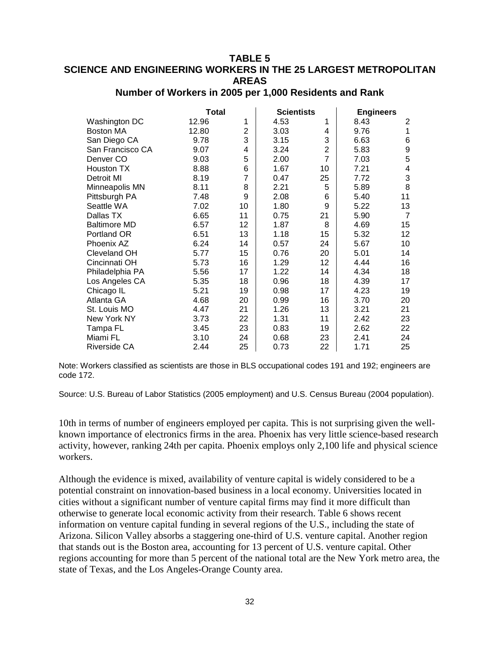## **TABLE 5 SCIENCE AND ENGINEERING WORKERS IN THE 25 LARGEST METROPOLITAN AREAS**

|                     | Total |                | <b>Scientists</b> |                | <b>Engineers</b> |                           |
|---------------------|-------|----------------|-------------------|----------------|------------------|---------------------------|
| Washington DC       | 12.96 | 1              | 4.53              | 1              | 8.43             | 2                         |
| <b>Boston MA</b>    | 12.80 | 2              | 3.03              | 4              | 9.76             | 1                         |
| San Diego CA        | 9.78  | 3              | 3.15              | 3              | 6.63             | $\,6$                     |
| San Francisco CA    | 9.07  | 4              | 3.24              | $\overline{2}$ | 5.83             | $\boldsymbol{9}$          |
| Denver CO           | 9.03  | 5              | 2.00              | $\overline{7}$ | 7.03             | 5                         |
| Houston TX          | 8.88  | 6              | 1.67              | 10             | 7.21             | $\overline{\mathbf{4}}$   |
| Detroit MI          | 8.19  | $\overline{7}$ | 0.47              | 25             | 7.72             | $\ensuremath{\mathsf{3}}$ |
| Minneapolis MN      | 8.11  | 8              | 2.21              | 5              | 5.89             | 8                         |
| Pittsburgh PA       | 7.48  | 9              | 2.08              | 6              | 5.40             | 11                        |
| Seattle WA          | 7.02  | 10             | 1.80              | 9              | 5.22             | 13                        |
| Dallas TX           | 6.65  | 11             | 0.75              | 21             | 5.90             | $\overline{7}$            |
| <b>Baltimore MD</b> | 6.57  | 12             | 1.87              | 8              | 4.69             | 15                        |
| Portland OR         | 6.51  | 13             | 1.18              | 15             | 5.32             | 12                        |
| Phoenix AZ          | 6.24  | 14             | 0.57              | 24             | 5.67             | 10                        |
| Cleveland OH        | 5.77  | 15             | 0.76              | 20             | 5.01             | 14                        |
| Cincinnati OH       | 5.73  | 16             | 1.29              | 12             | 4.44             | 16                        |
| Philadelphia PA     | 5.56  | 17             | 1.22              | 14             | 4.34             | 18                        |
| Los Angeles CA      | 5.35  | 18             | 0.96              | 18             | 4.39             | 17                        |
| Chicago IL          | 5.21  | 19             | 0.98              | 17             | 4.23             | 19                        |
| Atlanta GA          | 4.68  | 20             | 0.99              | 16             | 3.70             | 20                        |
| St. Louis MO        | 4.47  | 21             | 1.26              | 13             | 3.21             | 21                        |
| New York NY         | 3.73  | 22             | 1.31              | 11             | 2.42             | 23                        |
| Tampa FL            | 3.45  | 23             | 0.83              | 19             | 2.62             | 22                        |
| Miami FL            | 3.10  | 24             | 0.68              | 23             | 2.41             | 24                        |
| Riverside CA        | 2.44  | 25             | 0.73              | 22             | 1.71             | 25                        |

## **Number of Workers in 2005 per 1,000 Residents and Rank**

Note: Workers classified as scientists are those in BLS occupational codes 191 and 192; engineers are code 172.

Source: U.S. Bureau of Labor Statistics (2005 employment) and U.S. Census Bureau (2004 population).

10th in terms of number of engineers employed per capita. This is not surprising given the wellknown importance of electronics firms in the area. Phoenix has very little science-based research activity, however, ranking 24th per capita. Phoenix employs only 2,100 life and physical science workers.

Although the evidence is mixed, availability of venture capital is widely considered to be a potential constraint on innovation-based business in a local economy. Universities located in cities without a significant number of venture capital firms may find it more difficult than otherwise to generate local economic activity from their research. Table 6 shows recent information on venture capital funding in several regions of the U.S., including the state of Arizona. Silicon Valley absorbs a staggering one-third of U.S. venture capital. Another region that stands out is the Boston area, accounting for 13 percent of U.S. venture capital. Other regions accounting for more than 5 percent of the national total are the New York metro area, the state of Texas, and the Los Angeles-Orange County area.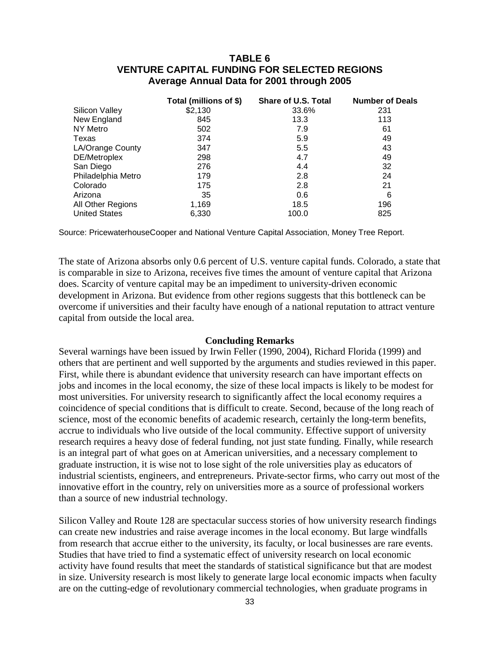## **TABLE 6 VENTURE CAPITAL FUNDING FOR SELECTED REGIONS Average Annual Data for 2001 through 2005**

|                      | Total (millions of \$) | Share of U.S. Total | <b>Number of Deals</b> |
|----------------------|------------------------|---------------------|------------------------|
| Silicon Valley       | \$2,130                | 33.6%               | 231                    |
| New England          | 845                    | 13.3                | 113                    |
| NY Metro             | 502                    | 7.9                 | 61                     |
| Texas                | 374                    | 5.9                 | 49                     |
| LA/Orange County     | 347                    | 5.5                 | 43                     |
| DE/Metroplex         | 298                    | 4.7                 | 49                     |
| San Diego            | 276                    | 4.4                 | 32                     |
| Philadelphia Metro   | 179                    | 2.8                 | 24                     |
| Colorado             | 175                    | 2.8                 | 21                     |
| Arizona              | 35                     | 0.6                 | 6                      |
| All Other Regions    | 1,169                  | 18.5                | 196                    |
| <b>United States</b> | 6.330                  | 100.0               | 825                    |

Source: PricewaterhouseCooper and National Venture Capital Association, Money Tree Report.

The state of Arizona absorbs only 0.6 percent of U.S. venture capital funds. Colorado, a state that is comparable in size to Arizona, receives five times the amount of venture capital that Arizona does. Scarcity of venture capital may be an impediment to university-driven economic development in Arizona. But evidence from other regions suggests that this bottleneck can be overcome if universities and their faculty have enough of a national reputation to attract venture capital from outside the local area.

#### **Concluding Remarks**

Several warnings have been issued by Irwin Feller (1990, 2004), Richard Florida (1999) and others that are pertinent and well supported by the arguments and studies reviewed in this paper. First, while there is abundant evidence that university research can have important effects on jobs and incomes in the local economy, the size of these local impacts is likely to be modest for most universities. For university research to significantly affect the local economy requires a coincidence of special conditions that is difficult to create. Second, because of the long reach of science, most of the economic benefits of academic research, certainly the long-term benefits, accrue to individuals who live outside of the local community. Effective support of university research requires a heavy dose of federal funding, not just state funding. Finally, while research is an integral part of what goes on at American universities, and a necessary complement to graduate instruction, it is wise not to lose sight of the role universities play as educators of industrial scientists, engineers, and entrepreneurs. Private-sector firms, who carry out most of the innovative effort in the country, rely on universities more as a source of professional workers than a source of new industrial technology.

Silicon Valley and Route 128 are spectacular success stories of how university research findings can create new industries and raise average incomes in the local economy. But large windfalls from research that accrue either to the university, its faculty, or local businesses are rare events. Studies that have tried to find a systematic effect of university research on local economic activity have found results that meet the standards of statistical significance but that are modest in size. University research is most likely to generate large local economic impacts when faculty are on the cutting-edge of revolutionary commercial technologies, when graduate programs in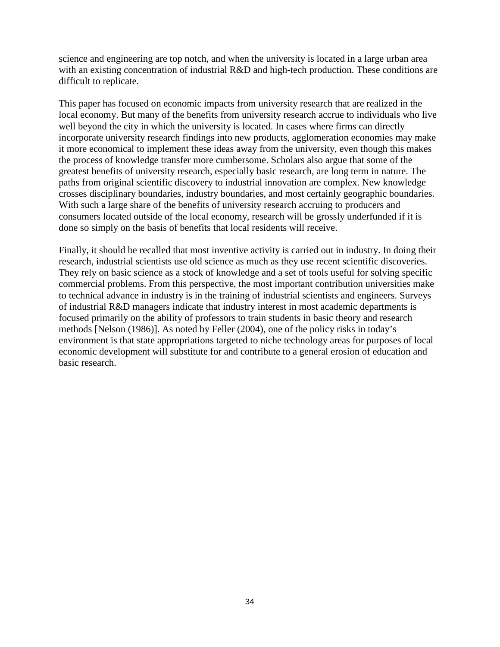science and engineering are top notch, and when the university is located in a large urban area with an existing concentration of industrial R&D and high-tech production. These conditions are difficult to replicate.

This paper has focused on economic impacts from university research that are realized in the local economy. But many of the benefits from university research accrue to individuals who live well beyond the city in which the university is located. In cases where firms can directly incorporate university research findings into new products, agglomeration economies may make it more economical to implement these ideas away from the university, even though this makes the process of knowledge transfer more cumbersome. Scholars also argue that some of the greatest benefits of university research, especially basic research, are long term in nature. The paths from original scientific discovery to industrial innovation are complex. New knowledge crosses disciplinary boundaries, industry boundaries, and most certainly geographic boundaries. With such a large share of the benefits of university research accruing to producers and consumers located outside of the local economy, research will be grossly underfunded if it is done so simply on the basis of benefits that local residents will receive.

Finally, it should be recalled that most inventive activity is carried out in industry. In doing their research, industrial scientists use old science as much as they use recent scientific discoveries. They rely on basic science as a stock of knowledge and a set of tools useful for solving specific commercial problems. From this perspective, the most important contribution universities make to technical advance in industry is in the training of industrial scientists and engineers. Surveys of industrial R&D managers indicate that industry interest in most academic departments is focused primarily on the ability of professors to train students in basic theory and research methods [Nelson (1986)]. As noted by Feller (2004), one of the policy risks in today's environment is that state appropriations targeted to niche technology areas for purposes of local economic development will substitute for and contribute to a general erosion of education and basic research.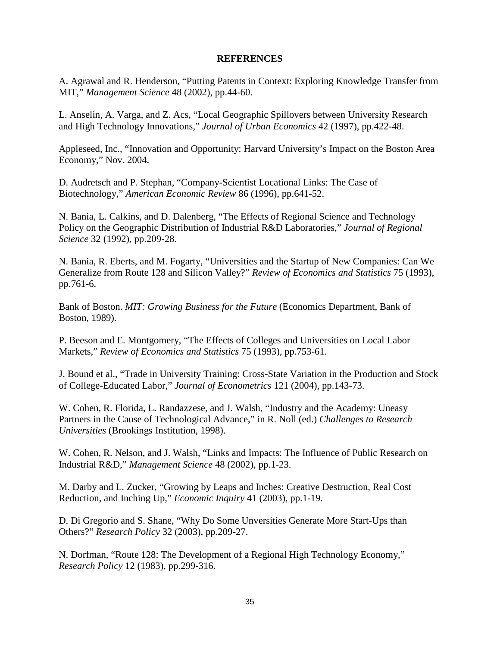#### **REFERENCES**

A. Agrawal and R. Henderson, "Putting Patents in Context: Exploring Knowledge Transfer from MIT," *Management Science* 48 (2002), pp.44-60.

L. Anselin, A. Varga, and Z. Acs, "Local Geographic Spillovers between University Research and High Technology Innovations," *Journal of Urban Economics* 42 (1997), pp.422-48.

Appleseed, Inc., "Innovation and Opportunity: Harvard University's Impact on the Boston Area Economy," Nov. 2004.

D. Audretsch and P. Stephan, "Company-Scientist Locational Links: The Case of Biotechnology," *American Economic Review* 86 (1996), pp.641-52.

N. Bania, L. Calkins, and D. Dalenberg, "The Effects of Regional Science and Technology Policy on the Geographic Distribution of Industrial R&D Laboratories," *Journal of Regional Science* 32 (1992), pp.209-28.

N. Bania, R. Eberts, and M. Fogarty, "Universities and the Startup of New Companies: Can We Generalize from Route 128 and Silicon Valley?" *Review of Economics and Statistics* 75 (1993), pp.761-6.

Bank of Boston. *MIT: Growing Business for the Future* (Economics Department, Bank of Boston, 1989).

P. Beeson and E. Montgomery, "The Effects of Colleges and Universities on Local Labor Markets," *Review of Economics and Statistics* 75 (1993), pp.753-61.

J. Bound et al., "Trade in University Training: Cross-State Variation in the Production and Stock of College-Educated Labor," *Journal of Econometrics* 121 (2004), pp.143-73.

W. Cohen, R. Florida, L. Randazzese, and J. Walsh, "Industry and the Academy: Uneasy Partners in the Cause of Technological Advance," in R. Noll (ed.) *Challenges to Research Universities* (Brookings Institution, 1998).

W. Cohen, R. Nelson, and J. Walsh, "Links and Impacts: The Influence of Public Research on Industrial R&D," *Management Science* 48 (2002), pp.1-23.

M. Darby and L. Zucker, "Growing by Leaps and Inches: Creative Destruction, Real Cost Reduction, and Inching Up," *Economic Inquiry* 41 (2003), pp.1-19.

D. Di Gregorio and S. Shane, "Why Do Some Unversities Generate More Start-Ups than Others?" *Research Policy* 32 (2003), pp.209-27.

N. Dorfman, "Route 128: The Development of a Regional High Technology Economy," *Research Policy* 12 (1983), pp.299-316.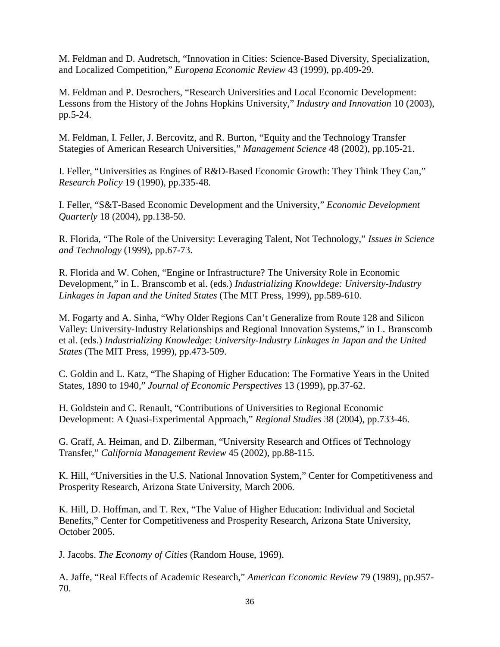M. Feldman and D. Audretsch, "Innovation in Cities: Science-Based Diversity, Specialization, and Localized Competition," *Europena Economic Review* 43 (1999), pp.409-29.

M. Feldman and P. Desrochers, "Research Universities and Local Economic Development: Lessons from the History of the Johns Hopkins University," *Industry and Innovation* 10 (2003), pp.5-24.

M. Feldman, I. Feller, J. Bercovitz, and R. Burton, "Equity and the Technology Transfer Stategies of American Research Universities," *Management Science* 48 (2002), pp.105-21.

I. Feller, "Universities as Engines of R&D-Based Economic Growth: They Think They Can," *Research Policy* 19 (1990), pp.335-48.

I. Feller, "S&T-Based Economic Development and the University," *Economic Development Quarterly* 18 (2004), pp.138-50.

R. Florida, "The Role of the University: Leveraging Talent, Not Technology," *Issues in Science and Technology* (1999), pp.67-73.

R. Florida and W. Cohen, "Engine or Infrastructure? The University Role in Economic Development," in L. Branscomb et al. (eds.) *Industrializing Knowldege: University-Industry Linkages in Japan and the United States* (The MIT Press, 1999), pp.589-610.

M. Fogarty and A. Sinha, "Why Older Regions Can't Generalize from Route 128 and Silicon Valley: University-Industry Relationships and Regional Innovation Systems," in L. Branscomb et al. (eds.) *Industrializing Knowledge: University-Industry Linkages in Japan and the United States* (The MIT Press, 1999), pp.473-509.

C. Goldin and L. Katz, "The Shaping of Higher Education: The Formative Years in the United States, 1890 to 1940," *Journal of Economic Perspectives* 13 (1999), pp.37-62.

H. Goldstein and C. Renault, "Contributions of Universities to Regional Economic Development: A Quasi-Experimental Approach," *Regional Studies* 38 (2004), pp.733-46.

G. Graff, A. Heiman, and D. Zilberman, "University Research and Offices of Technology Transfer," *California Management Review* 45 (2002), pp.88-115.

K. Hill, "Universities in the U.S. National Innovation System," Center for Competitiveness and Prosperity Research, Arizona State University, March 2006.

K. Hill, D. Hoffman, and T. Rex, "The Value of Higher Education: Individual and Societal Benefits," Center for Competitiveness and Prosperity Research, Arizona State University, October 2005.

J. Jacobs. *The Economy of Cities* (Random House, 1969).

A. Jaffe, "Real Effects of Academic Research," *American Economic Review* 79 (1989), pp.957- 70.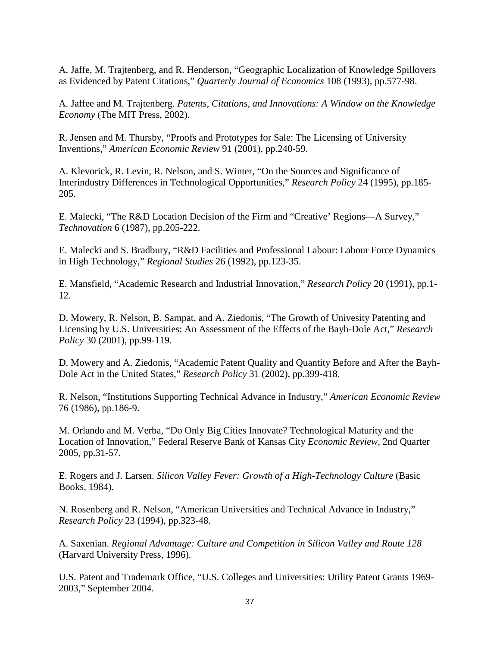A. Jaffe, M. Trajtenberg, and R. Henderson, "Geographic Localization of Knowledge Spillovers as Evidenced by Patent Citations," *Quarterly Journal of Economics* 108 (1993), pp.577-98.

A. Jaffee and M. Trajtenberg. *Patents, Citations, and Innovations: A Window on the Knowledge Economy* (The MIT Press, 2002).

R. Jensen and M. Thursby, "Proofs and Prototypes for Sale: The Licensing of University Inventions," *American Economic Review* 91 (2001), pp.240-59.

A. Klevorick, R. Levin, R. Nelson, and S. Winter, "On the Sources and Significance of Interindustry Differences in Technological Opportunities," *Research Policy* 24 (1995), pp.185- 205.

E. Malecki, "The R&D Location Decision of the Firm and "Creative' Regions—A Survey," *Technovation* 6 (1987), pp.205-222.

E. Malecki and S. Bradbury, "R&D Facilities and Professional Labour: Labour Force Dynamics in High Technology," *Regional Studies* 26 (1992), pp.123-35.

E. Mansfield, "Academic Research and Industrial Innovation," *Research Policy* 20 (1991), pp.1- 12.

D. Mowery, R. Nelson, B. Sampat, and A. Ziedonis, "The Growth of Univesity Patenting and Licensing by U.S. Universities: An Assessment of the Effects of the Bayh-Dole Act," *Research Policy* 30 (2001), pp.99-119.

D. Mowery and A. Ziedonis, "Academic Patent Quality and Quantity Before and After the Bayh-Dole Act in the United States," *Research Policy* 31 (2002), pp.399-418.

R. Nelson, "Institutions Supporting Technical Advance in Industry," *American Economic Review* 76 (1986), pp.186-9.

M. Orlando and M. Verba, "Do Only Big Cities Innovate? Technological Maturity and the Location of Innovation," Federal Reserve Bank of Kansas City *Economic Review*, 2nd Quarter 2005, pp.31-57.

E. Rogers and J. Larsen. *Silicon Valley Fever: Growth of a High-Technology Culture* (Basic Books, 1984).

N. Rosenberg and R. Nelson, "American Universities and Technical Advance in Industry," *Research Policy* 23 (1994), pp.323-48.

A. Saxenian. *Regional Advantage: Culture and Competition in Silicon Valley and Route 128* (Harvard University Press, 1996).

U.S. Patent and Trademark Office, "U.S. Colleges and Universities: Utility Patent Grants 1969- 2003," September 2004.